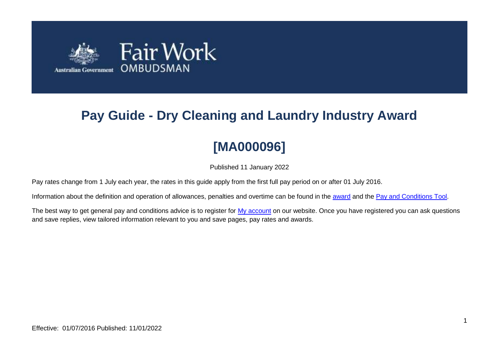

# **Pay Guide - Dry Cleaning and Laundry Industry Award**

# **[MA000096]**

Published 11 January 2022

Pay rates change from 1 July each year, the rates in this guide apply from the first full pay period on or after 01 July 2016.

Information about the definition and operation of allowances, penalties and overtime can be found in the [award](https://www.fairwork.gov.au/awards-and-agreements/awards/list-of-awards) and the [Pay and Conditions Tool.](https://calculate.fairwork.gov.au/)

The best way to get general pay and conditions advice is to register for [My account](https://www.fairwork.gov.au/my-account/registerpage.aspx) on our website. Once you have registered you can ask questions and save replies, view tailored information relevant to you and save pages, pay rates and awards.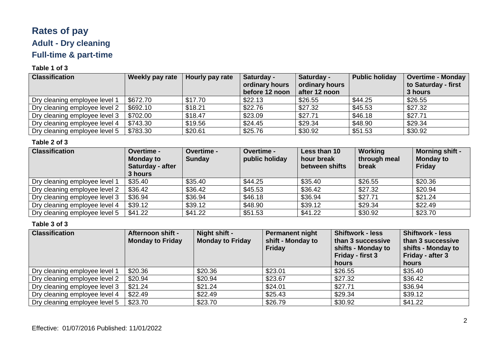# **Rates of pay Adult - Dry cleaning Full-time & part-time**

#### **Table 1 of 3**

| <b>Classification</b>         | Weekly pay rate | Hourly pay rate | Saturday -     | Saturday -     | <b>Public holiday</b> | Overtime - Monday   |
|-------------------------------|-----------------|-----------------|----------------|----------------|-----------------------|---------------------|
|                               |                 |                 | ordinary hours | ordinary hours |                       | to Saturday - first |
|                               |                 |                 | before 12 noon | after 12 noon  |                       | 3 hours             |
| Dry cleaning employee level 1 | \$672.70        | \$17.70         | \$22.13        | \$26.55        | \$44.25               | \$26.55             |
| Dry cleaning employee level 2 | \$692.10        | \$18.21         | \$22.76        | \$27.32        | \$45.53               | \$27.32             |
| Dry cleaning employee level 3 | \$702.00        | \$18.47         | \$23.09        | \$27.71        | \$46.18               | \$27.71             |
| Dry cleaning employee level 4 | \$743.30        | \$19.56         | \$24.45        | \$29.34        | \$48.90               | \$29.34             |
| Dry cleaning employee level 5 | \$783.30        | \$20.61         | \$25.76        | \$30.92        | \$51.53               | \$30.92             |

#### **Table 2 of 3**

| <b>Classification</b>         | <b>Overtime -</b><br><b>Monday to</b><br>Saturday - after<br>3 hours | Overtime -<br><b>Sunday</b> | Overtime -<br>public holiday | Less than 10<br>hour break<br>between shifts | Working<br>through meal<br>break | <b>Morning shift -</b><br><b>Monday to</b><br>Friday |
|-------------------------------|----------------------------------------------------------------------|-----------------------------|------------------------------|----------------------------------------------|----------------------------------|------------------------------------------------------|
| Dry cleaning employee level 1 | \$35.40                                                              | \$35.40                     | \$44.25                      | \$35.40                                      | \$26.55                          | \$20.36                                              |
| Dry cleaning employee level 2 | \$36.42                                                              | \$36.42                     | \$45.53                      | \$36.42                                      | \$27.32                          | \$20.94                                              |
| Dry cleaning employee level 3 | \$36.94                                                              | \$36.94                     | \$46.18                      | \$36.94                                      | \$27.71                          | \$21.24                                              |
| Dry cleaning employee level 4 | \$39.12                                                              | \$39.12                     | \$48.90                      | \$39.12                                      | \$29.34                          | \$22.49                                              |
| Dry cleaning employee level 5 | \$41.22                                                              | \$41.22                     | \$51.53                      | \$41.22                                      | \$30.92                          | \$23.70                                              |

| <b>Classification</b>         | Afternoon shift -<br><b>Monday to Friday</b> | Night shift -<br><b>Monday to Friday</b> | <b>Permanent night</b><br>shift - Monday to<br><b>Friday</b> | <b>Shiftwork - less</b><br>than 3 successive<br>shifts - Monday to<br>Friday - first 3<br>hours | <b>Shiftwork - less</b><br>than 3 successive<br>shifts - Monday to<br>Friday - after 3<br>hours |
|-------------------------------|----------------------------------------------|------------------------------------------|--------------------------------------------------------------|-------------------------------------------------------------------------------------------------|-------------------------------------------------------------------------------------------------|
| Dry cleaning employee level 1 | \$20.36                                      | \$20.36                                  | \$23.01                                                      | \$26.55                                                                                         | \$35.40                                                                                         |
| Dry cleaning employee level 2 | \$20.94                                      | \$20.94                                  | \$23.67                                                      | \$27.32                                                                                         | \$36.42                                                                                         |
| Dry cleaning employee level 3 | \$21.24                                      | \$21.24                                  | \$24.01                                                      | \$27.71                                                                                         | \$36.94                                                                                         |
| Dry cleaning employee level 4 | \$22.49                                      | \$22.49                                  | \$25.43                                                      | \$29.34                                                                                         | \$39.12                                                                                         |
| Dry cleaning employee level 5 | \$23.70                                      | \$23.70                                  | \$26.79                                                      | \$30.92                                                                                         | \$41.22                                                                                         |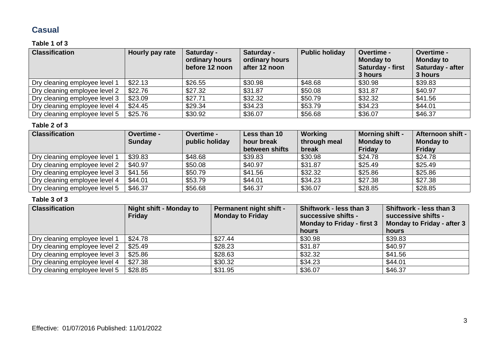### **Casual**

#### **Table 1 of 3**

| <b>Classification</b>         | Hourly pay rate | Saturday -<br>ordinary hours<br>before 12 noon | Saturday -<br>ordinary hours<br>after 12 noon | <b>Public holiday</b> | Overtime -<br><b>Monday to</b><br>Saturday - first<br>3 hours | <b>Overtime -</b><br><b>Monday to</b><br>Saturday - after<br>3 hours |
|-------------------------------|-----------------|------------------------------------------------|-----------------------------------------------|-----------------------|---------------------------------------------------------------|----------------------------------------------------------------------|
| Dry cleaning employee level 1 | \$22.13         | \$26.55                                        | \$30.98                                       | \$48.68               | \$30.98                                                       | \$39.83                                                              |
| Dry cleaning employee level 2 | \$22.76         | \$27.32                                        | \$31.87                                       | \$50.08               | \$31.87                                                       | \$40.97                                                              |
| Dry cleaning employee level 3 | \$23.09         | \$27.71                                        | \$32.32                                       | \$50.79               | \$32.32                                                       | \$41.56                                                              |
| Dry cleaning employee level 4 | \$24.45         | \$29.34                                        | \$34.23                                       | \$53.79               | \$34.23                                                       | \$44.01                                                              |
| Dry cleaning employee level 5 | \$25.76         | \$30.92                                        | \$36.07                                       | \$56.68               | \$36.07                                                       | \$46.37                                                              |

#### **Table 2 of 3**

| <b>Classification</b>         | <b>Overtime -</b><br><b>Sunday</b> | <b>Overtime -</b><br>public holiday | Less than 10<br>hour break<br>between shifts | Working<br>through meal<br>break | <b>Morning shift -</b><br><b>Monday to</b><br>Friday | Afternoon shift -<br><b>Monday to</b><br><b>Friday</b> |
|-------------------------------|------------------------------------|-------------------------------------|----------------------------------------------|----------------------------------|------------------------------------------------------|--------------------------------------------------------|
| Dry cleaning employee level 1 | \$39.83                            | \$48.68                             | \$39.83                                      | \$30.98                          | \$24.78                                              | \$24.78                                                |
| Dry cleaning employee level 2 | \$40.97                            | \$50.08                             | \$40.97                                      | \$31.87                          | \$25.49                                              | \$25.49                                                |
| Dry cleaning employee level 3 | \$41.56                            | \$50.79                             | \$41.56                                      | \$32.32                          | \$25.86                                              | \$25.86                                                |
| Dry cleaning employee level 4 | \$44.01                            | \$53.79                             | \$44.01                                      | \$34.23                          | \$27.38                                              | \$27.38                                                |
| Dry cleaning employee level 5 | \$46.37                            | \$56.68                             | \$46.37                                      | \$36.07                          | \$28.85                                              | \$28.85                                                |

| <b>Classification</b>         | Night shift - Monday to<br><b>Friday</b> | <b>Permanent night shift -</b><br><b>Monday to Friday</b> | Shiftwork - less than 3<br>successive shifts -<br><b>Monday to Friday - first 3</b><br>hours | Shiftwork - less than 3<br>successive shifts -<br>Monday to Friday - after 3<br>hours |
|-------------------------------|------------------------------------------|-----------------------------------------------------------|----------------------------------------------------------------------------------------------|---------------------------------------------------------------------------------------|
| Dry cleaning employee level 1 | \$24.78                                  | \$27.44                                                   | \$30.98                                                                                      | \$39.83                                                                               |
| Dry cleaning employee level 2 | \$25.49                                  | \$28.23                                                   | \$31.87                                                                                      | \$40.97                                                                               |
| Dry cleaning employee level 3 | \$25.86                                  | \$28.63                                                   | \$32.32                                                                                      | \$41.56                                                                               |
| Dry cleaning employee level 4 | \$27.38                                  | \$30.32                                                   | \$34.23                                                                                      | \$44.01                                                                               |
| Dry cleaning employee level 5 | \$28.85                                  | \$31.95                                                   | \$36.07                                                                                      | \$46.37                                                                               |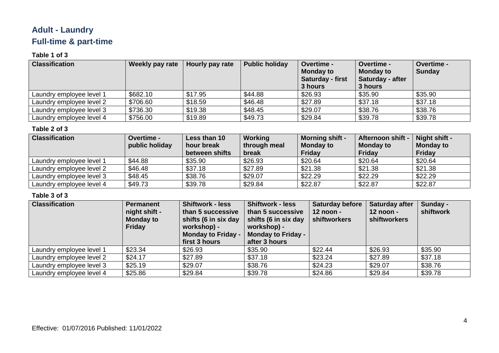## **Adult - Laundry Full-time & part-time**

#### **Table 1 of 3**

| <b>Classification</b>    | Weekly pay rate | Hourly pay rate | <b>Public holiday</b> | <b>Overtime -</b><br><b>Monday to</b><br><b>Saturday - first</b><br>3 hours | Overtime -<br><b>Monday to</b><br>Saturday - after<br>3 hours | Overtime -<br><b>Sunday</b> |
|--------------------------|-----------------|-----------------|-----------------------|-----------------------------------------------------------------------------|---------------------------------------------------------------|-----------------------------|
| Laundry employee level 1 | \$682.10        | \$17.95         | \$44.88               | \$26.93                                                                     | \$35.90                                                       | \$35.90                     |
| Laundry employee level 2 | \$706.60        | \$18.59         | \$46.48               | \$27.89                                                                     | \$37.18                                                       | \$37.18                     |
| Laundry employee level 3 | \$736.30        | \$19.38         | \$48.45               | \$29.07                                                                     | \$38.76                                                       | \$38.76                     |
| Laundry employee level 4 | \$756.00        | \$19.89         | \$49.73               | \$29.84                                                                     | \$39.78                                                       | \$39.78                     |

#### **Table 2 of 3**

| <b>Classification</b>    | <b>Overtime -</b><br>public holiday | Less than 10<br>hour break | Working<br>through meal | <b>Morning shift -</b><br><b>Monday to</b> | Afternoon shift -<br><b>Monday to</b> | Night shift -<br><b>Monday to</b> |
|--------------------------|-------------------------------------|----------------------------|-------------------------|--------------------------------------------|---------------------------------------|-----------------------------------|
|                          |                                     | between shifts             | break                   | <b>Friday</b>                              | Friday                                | Friday                            |
| Laundry employee level 1 | \$44.88                             | \$35.90                    | \$26.93                 | \$20.64                                    | \$20.64                               | \$20.64                           |
| Laundry employee level 2 | \$46.48                             | \$37.18                    | \$27.89                 | \$21.38                                    | \$21.38                               | \$21.38                           |
| Laundry employee level 3 | \$48.45                             | \$38.76                    | \$29.07                 | \$22.29                                    | \$22.29                               | \$22.29                           |
| Laundry employee level 4 | \$49.73                             | \$39.78                    | \$29.84                 | \$22.87                                    | \$22.87                               | \$22.87                           |

| <b>Classification</b>    | <b>Permanent</b><br>night shift -<br><b>Monday to</b><br>Friday | <b>Shiftwork - less</b><br>than 5 successive<br>shifts (6 in six day<br>workshop) -<br><b>Monday to Friday -</b><br>first 3 hours | <b>Shiftwork - less</b><br>than 5 successive<br>shifts (6 in six day<br>workshop) -<br><b>Monday to Friday -</b><br>after 3 hours | <b>Saturday before</b><br>12 noon -<br>shiftworkers | <b>Saturday after</b><br>$12$ noon -<br>shiftworkers | Sunday -<br>shiftwork |
|--------------------------|-----------------------------------------------------------------|-----------------------------------------------------------------------------------------------------------------------------------|-----------------------------------------------------------------------------------------------------------------------------------|-----------------------------------------------------|------------------------------------------------------|-----------------------|
| Laundry employee level 1 | \$23.34                                                         | \$26.93                                                                                                                           | \$35.90                                                                                                                           | \$22.44                                             | \$26.93                                              | \$35.90               |
| Laundry employee level 2 | \$24.17                                                         | \$27.89                                                                                                                           | \$37.18                                                                                                                           | \$23.24                                             | \$27.89                                              | \$37.18               |
| Laundry employee level 3 | \$25.19                                                         | \$29.07                                                                                                                           | \$38.76                                                                                                                           | \$24.23                                             | \$29.07                                              | \$38.76               |
| Laundry employee level 4 | \$25.86                                                         | \$29.84                                                                                                                           | \$39.78                                                                                                                           | \$24.86                                             | \$29.84                                              | \$39.78               |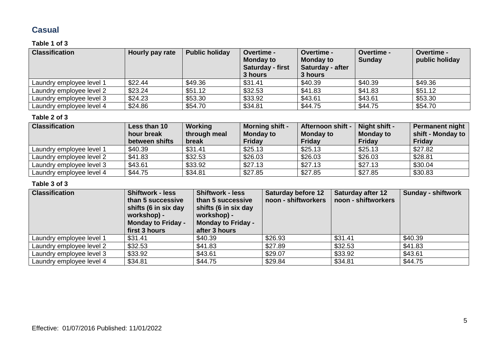### **Casual**

#### **Table 1 of 3**

| <b>Classification</b>    | Hourly pay rate | <b>Public holiday</b> | <b>Overtime -</b><br><b>Monday to</b><br>Saturday - first<br>3 hours | Overtime -<br><b>Monday to</b><br>Saturday - after<br>3 hours | <b>Overtime -</b><br><b>Sunday</b> | Overtime -<br>public holiday |
|--------------------------|-----------------|-----------------------|----------------------------------------------------------------------|---------------------------------------------------------------|------------------------------------|------------------------------|
| Laundry employee level 1 | \$22.44         | \$49.36               | \$31.41                                                              | \$40.39                                                       | \$40.39                            | \$49.36                      |
| Laundry employee level 2 | \$23.24         | \$51.12               | \$32.53                                                              | \$41.83                                                       | \$41.83                            | \$51.12                      |
| Laundry employee level 3 | \$24.23         | \$53.30               | \$33.92                                                              | \$43.61                                                       | \$43.61                            | \$53.30                      |
| Laundry employee level 4 | \$24.86         | \$54.70               | \$34.81                                                              | \$44.75                                                       | \$44.75                            | \$54.70                      |

#### **Table 2 of 3**

| <b>Classification</b>    | Less than 10<br>hour break<br>between shifts | Working<br>through meal<br>break | <b>Morning shift -</b><br><b>Monday to</b><br><b>Friday</b> | Afternoon shift -<br><b>Monday to</b><br><b>Friday</b> | Night shift -<br><b>Monday to</b><br><b>Friday</b> | Permanent night<br>shift - Monday to<br><b>Friday</b> |
|--------------------------|----------------------------------------------|----------------------------------|-------------------------------------------------------------|--------------------------------------------------------|----------------------------------------------------|-------------------------------------------------------|
| Laundry employee level 1 | \$40.39                                      | \$31.41                          | \$25.13                                                     | \$25.13                                                | \$25.13                                            | \$27.82                                               |
| Laundry employee level 2 | \$41.83                                      | \$32.53                          | \$26.03                                                     | \$26.03                                                | \$26.03                                            | \$28.81                                               |
| Laundry employee level 3 | \$43.61                                      | \$33.92                          | \$27.13                                                     | \$27.13                                                | \$27.13                                            | \$30.04                                               |
| Laundry employee level 4 | \$44.75                                      | \$34.81                          | \$27.85                                                     | \$27.85                                                | \$27.85                                            | \$30.83                                               |

| <b>Classification</b>    | <b>Shiftwork - less</b><br>than 5 successive<br>shifts (6 in six day<br>workshop) -<br><b>Monday to Friday -</b><br>first 3 hours | <b>Shiftwork - less</b><br>than 5 successive<br>shifts (6 in six day<br>workshop) -<br><b>Monday to Friday -</b><br>after 3 hours | <b>Saturday before 12</b><br>noon - shiftworkers | <b>Saturday after 12</b><br>noon - shiftworkers | <b>Sunday - shiftwork</b> |
|--------------------------|-----------------------------------------------------------------------------------------------------------------------------------|-----------------------------------------------------------------------------------------------------------------------------------|--------------------------------------------------|-------------------------------------------------|---------------------------|
| Laundry employee level 1 | \$31.41                                                                                                                           | \$40.39                                                                                                                           | \$26.93                                          | \$31.41                                         | \$40.39                   |
| Laundry employee level 2 | \$32.53                                                                                                                           | \$41.83                                                                                                                           | \$27.89                                          | \$32.53                                         | \$41.83                   |
| Laundry employee level 3 | \$33.92                                                                                                                           | \$43.61                                                                                                                           | \$29.07                                          | \$33.92                                         | \$43.61                   |
| Laundry employee level 4 | \$34.81                                                                                                                           | \$44.75                                                                                                                           | \$29.84                                          | \$34.81                                         | \$44.75                   |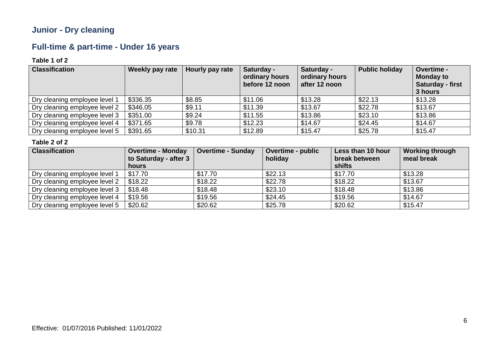### **Junior - Dry cleaning**

### **Full-time & part-time - Under 16 years**

#### **Table 1 of 2**

| <b>Classification</b>         | Weekly pay rate | Hourly pay rate | Saturday -<br>ordinary hours<br>before 12 noon | Saturday -<br>ordinary hours<br>after 12 noon | <b>Public holiday</b> | Overtime -<br><b>Monday to</b><br><b>Saturday - first</b><br>3 hours |
|-------------------------------|-----------------|-----------------|------------------------------------------------|-----------------------------------------------|-----------------------|----------------------------------------------------------------------|
| Dry cleaning employee level 1 | \$336.35        | \$8.85          | \$11.06                                        | \$13.28                                       | \$22.13               | \$13.28                                                              |
| Dry cleaning employee level 2 | \$346.05        | \$9.11          | \$11.39                                        | \$13.67                                       | \$22.78               | \$13.67                                                              |
| Dry cleaning employee level 3 | \$351.00        | \$9.24          | \$11.55                                        | \$13.86                                       | \$23.10               | \$13.86                                                              |
| Dry cleaning employee level 4 | \$371.65        | \$9.78          | \$12.23                                        | \$14.67                                       | \$24.45               | \$14.67                                                              |
| Dry cleaning employee level 5 | \$391.65        | \$10.31         | \$12.89                                        | \$15.47                                       | \$25.78               | \$15.47                                                              |

| <b>Classification</b>         | <b>Overtime - Monday</b> | <b>Overtime - Sunday</b> | <b>Overtime - public</b> | Less than 10 hour | <b>Working through</b> |
|-------------------------------|--------------------------|--------------------------|--------------------------|-------------------|------------------------|
|                               | to Saturday - after 3    |                          | holiday                  | break between     | meal break             |
|                               | hours                    |                          |                          | shifts            |                        |
| Dry cleaning employee level 1 | \$17.70                  | \$17.70                  | \$22.13                  | \$17.70           | \$13.28                |
| Dry cleaning employee level 2 | \$18.22                  | \$18.22                  | \$22.78                  | \$18.22           | \$13.67                |
| Dry cleaning employee level 3 | \$18.48                  | \$18.48                  | \$23.10                  | \$18.48           | \$13.86                |
| Dry cleaning employee level 4 | \$19.56                  | \$19.56                  | \$24.45                  | \$19.56           | \$14.67                |
| Dry cleaning employee level 5 | \$20.62                  | \$20.62                  | \$25.78                  | \$20.62           | \$15.47                |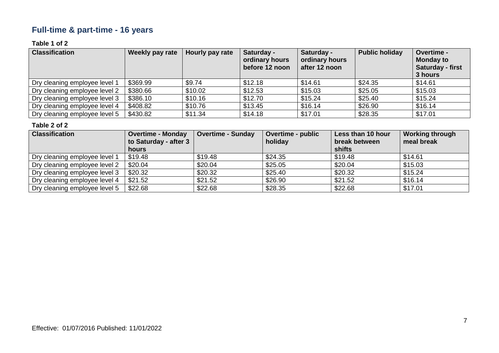## **Full-time & part-time - 16 years**

#### **Table 1 of 2**

| <b>Classification</b>         | Weekly pay rate | Hourly pay rate | Saturday -<br>ordinary hours<br>before 12 noon | Saturday -<br>ordinary hours<br>after 12 noon | <b>Public holiday</b> | Overtime -<br><b>Monday to</b><br><b>Saturday - first</b><br>3 hours |
|-------------------------------|-----------------|-----------------|------------------------------------------------|-----------------------------------------------|-----------------------|----------------------------------------------------------------------|
| Dry cleaning employee level 1 | \$369.99        | \$9.74          | \$12.18                                        | \$14.61                                       | \$24.35               | \$14.61                                                              |
| Dry cleaning employee level 2 | \$380.66        | \$10.02         | \$12.53                                        | \$15.03                                       | \$25.05               | \$15.03                                                              |
| Dry cleaning employee level 3 | \$386.10        | \$10.16         | \$12.70                                        | \$15.24                                       | \$25.40               | \$15.24                                                              |
| Dry cleaning employee level 4 | \$408.82        | \$10.76         | \$13.45                                        | \$16.14                                       | \$26.90               | \$16.14                                                              |
| Dry cleaning employee level 5 | \$430.82        | \$11.34         | \$14.18                                        | \$17.01                                       | \$28.35               | \$17.01                                                              |

| <b>Classification</b>         | <b>Overtime - Monday</b><br>to Saturday - after 3<br>hours | <b>Overtime - Sunday</b> | <b>Overtime - public</b><br>holiday | Less than 10 hour<br>break between<br>shifts | <b>Working through</b><br>meal break |
|-------------------------------|------------------------------------------------------------|--------------------------|-------------------------------------|----------------------------------------------|--------------------------------------|
| Dry cleaning employee level 1 | \$19.48                                                    | \$19.48                  | \$24.35                             | \$19.48                                      | \$14.61                              |
| Dry cleaning employee level 2 | \$20.04                                                    | \$20.04                  | \$25.05                             | \$20.04                                      | \$15.03                              |
| Dry cleaning employee level 3 | \$20.32                                                    | \$20.32                  | \$25.40                             | \$20.32                                      | \$15.24                              |
| Dry cleaning employee level 4 | \$21.52                                                    | \$21.52                  | \$26.90                             | \$21.52                                      | \$16.14                              |
| Dry cleaning employee level 5 | \$22.68                                                    | \$22.68                  | \$28.35                             | \$22.68                                      | \$17.01                              |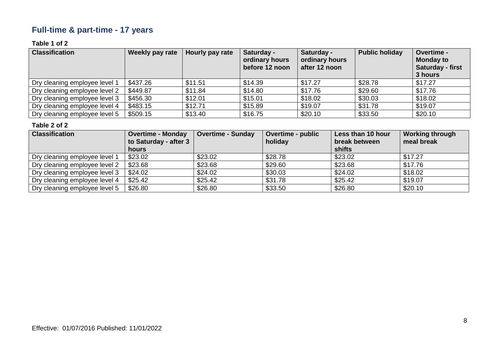## **Full-time & part-time - 17 years**

#### **Table 1 of 2**

| <b>Classification</b>         | Weekly pay rate | Hourly pay rate | Saturday -<br>ordinary hours<br>before 12 noon | Saturday -<br>ordinary hours<br>after 12 noon | <b>Public holiday</b> | Overtime -<br><b>Monday to</b><br><b>Saturday - first</b><br>3 hours |
|-------------------------------|-----------------|-----------------|------------------------------------------------|-----------------------------------------------|-----------------------|----------------------------------------------------------------------|
| Dry cleaning employee level 1 | \$437.26        | \$11.51         | \$14.39                                        | \$17.27                                       | \$28.78               | \$17.27                                                              |
| Dry cleaning employee level 2 | \$449.87        | \$11.84         | \$14.80                                        | \$17.76                                       | \$29.60               | \$17.76                                                              |
| Dry cleaning employee level 3 | \$456.30        | \$12.01         | \$15.01                                        | \$18.02                                       | \$30.03               | \$18.02                                                              |
| Dry cleaning employee level 4 | \$483.15        | \$12.71         | \$15.89                                        | \$19.07                                       | \$31.78               | \$19.07                                                              |
| Dry cleaning employee level 5 | \$509.15        | \$13.40         | \$16.75                                        | \$20.10                                       | \$33.50               | \$20.10                                                              |

| <b>Classification</b>         | <b>Overtime - Monday</b><br>to Saturday - after 3<br>hours | <b>Overtime - Sunday</b> | <b>Overtime - public</b><br>holiday | Less than 10 hour<br>break between<br>shifts | <b>Working through</b><br>meal break |
|-------------------------------|------------------------------------------------------------|--------------------------|-------------------------------------|----------------------------------------------|--------------------------------------|
| Dry cleaning employee level 1 | \$23.02                                                    | \$23.02                  | \$28.78                             | \$23.02                                      | \$17.27                              |
| Dry cleaning employee level 2 | \$23.68                                                    | \$23.68                  | \$29.60                             | \$23.68                                      | \$17.76                              |
| Dry cleaning employee level 3 | \$24.02                                                    | \$24.02                  | \$30.03                             | \$24.02                                      | \$18.02                              |
| Dry cleaning employee level 4 | \$25.42                                                    | \$25.42                  | \$31.78                             | \$25.42                                      | \$19.07                              |
| Dry cleaning employee level 5 | \$26.80                                                    | \$26.80                  | \$33.50                             | \$26.80                                      | \$20.10                              |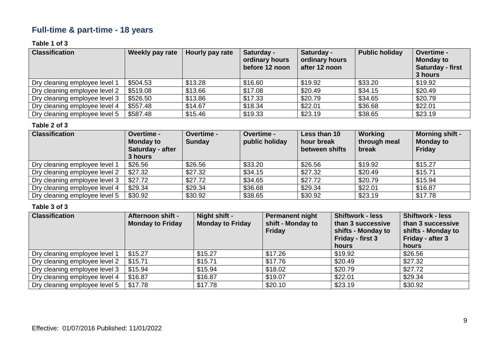### **Full-time & part-time - 18 years**

#### **Table 1 of 3**

| <b>Classification</b>         | <b>Weekly pay rate</b> | Hourly pay rate | Saturday -<br>ordinary hours<br>before 12 noon | Saturday -<br>ordinary hours<br>after 12 noon | <b>Public holiday</b> | <b>Overtime -</b><br><b>Monday to</b><br>Saturday - first<br>3 hours |
|-------------------------------|------------------------|-----------------|------------------------------------------------|-----------------------------------------------|-----------------------|----------------------------------------------------------------------|
| Dry cleaning employee level 1 | \$504.53               | \$13.28         | \$16.60                                        | \$19.92                                       | \$33.20               | \$19.92                                                              |
| Dry cleaning employee level 2 | \$519.08               | \$13.66         | \$17.08                                        | \$20.49                                       | \$34.15               | \$20.49                                                              |
| Dry cleaning employee level 3 | \$526.50               | \$13.86         | \$17.33                                        | \$20.79                                       | \$34.65               | \$20.79                                                              |
| Dry cleaning employee level 4 | \$557.48               | \$14.67         | \$18.34                                        | \$22.01                                       | \$36.68               | \$22.01                                                              |
| Dry cleaning employee level 5 | \$587.48               | \$15.46         | \$19.33                                        | \$23.19                                       | \$38.65               | \$23.19                                                              |

#### **Table 2 of 3**

| <b>Classification</b>         | <b>Overtime -</b><br><b>Monday to</b><br>Saturday - after<br>3 hours | Overtime -<br><b>Sunday</b> | <b>Overtime -</b><br>public holiday | Less than 10<br>hour break<br>between shifts | Working<br>through meal<br>break | <b>Morning shift -</b><br><b>Monday to</b><br><b>Friday</b> |
|-------------------------------|----------------------------------------------------------------------|-----------------------------|-------------------------------------|----------------------------------------------|----------------------------------|-------------------------------------------------------------|
| Dry cleaning employee level 1 | \$26.56                                                              | \$26.56                     | \$33.20                             | \$26.56                                      | \$19.92                          | \$15.27                                                     |
| Dry cleaning employee level 2 | \$27.32                                                              | \$27.32                     | \$34.15                             | \$27.32                                      | \$20.49                          | \$15.71                                                     |
| Dry cleaning employee level 3 | \$27.72                                                              | \$27.72                     | \$34.65                             | \$27.72                                      | \$20.79                          | \$15.94                                                     |
| Dry cleaning employee level 4 | \$29.34                                                              | \$29.34                     | \$36.68                             | \$29.34                                      | \$22.01                          | \$16.87                                                     |
| Dry cleaning employee level 5 | \$30.92                                                              | \$30.92                     | \$38.65                             | \$30.92                                      | \$23.19                          | \$17.78                                                     |

| <b>Classification</b>         | Afternoon shift -<br><b>Monday to Friday</b> | Night shift -<br><b>Monday to Friday</b> | <b>Permanent night</b><br>shift - Monday to<br><b>Friday</b> | <b>Shiftwork - less</b><br>than 3 successive<br>shifts - Monday to<br>Friday - first 3<br>hours | <b>Shiftwork - less</b><br>than 3 successive<br>shifts - Monday to<br>Friday - after 3<br>hours |
|-------------------------------|----------------------------------------------|------------------------------------------|--------------------------------------------------------------|-------------------------------------------------------------------------------------------------|-------------------------------------------------------------------------------------------------|
| Dry cleaning employee level 1 | \$15.27                                      | \$15.27                                  | \$17.26                                                      | \$19.92                                                                                         | \$26.56                                                                                         |
| Dry cleaning employee level 2 | \$15.71                                      | \$15.71                                  | \$17.76                                                      | \$20.49                                                                                         | \$27.32                                                                                         |
| Dry cleaning employee level 3 | \$15.94                                      | \$15.94                                  | \$18.02                                                      | \$20.79                                                                                         | \$27.72                                                                                         |
| Dry cleaning employee level 4 | \$16.87                                      | \$16.87                                  | \$19.07                                                      | \$22.01                                                                                         | \$29.34                                                                                         |
| Dry cleaning employee level 5 | \$17.78                                      | \$17.78                                  | \$20.10                                                      | \$23.19                                                                                         | \$30.92                                                                                         |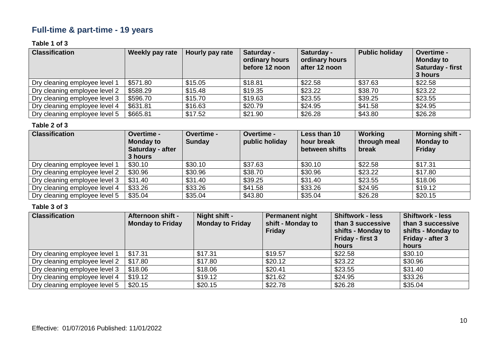### **Full-time & part-time - 19 years**

#### **Table 1 of 3**

| <b>Classification</b>         | <b>Weekly pay rate</b> | Hourly pay rate | Saturday -<br>ordinary hours<br>before 12 noon | Saturday -<br>ordinary hours<br>after 12 noon | <b>Public holiday</b> | <b>Overtime -</b><br><b>Monday to</b><br><b>Saturday - first</b><br>3 hours |
|-------------------------------|------------------------|-----------------|------------------------------------------------|-----------------------------------------------|-----------------------|-----------------------------------------------------------------------------|
| Dry cleaning employee level   | \$571.80               | \$15.05         | \$18.81                                        | \$22.58                                       | \$37.63               | \$22.58                                                                     |
| Dry cleaning employee level 2 | \$588.29               | \$15.48         | \$19.35                                        | \$23.22                                       | \$38.70               | \$23.22                                                                     |
| Dry cleaning employee level 3 | \$596.70               | \$15.70         | \$19.63                                        | \$23.55                                       | \$39.25               | \$23.55                                                                     |
| Dry cleaning employee level 4 | \$631.81               | \$16.63         | \$20.79                                        | \$24.95                                       | \$41.58               | \$24.95                                                                     |
| Dry cleaning employee level 5 | \$665.81               | \$17.52         | \$21.90                                        | \$26.28                                       | \$43.80               | \$26.28                                                                     |

#### **Table 2 of 3**

| <b>Classification</b>         | <b>Overtime -</b><br><b>Monday to</b><br>Saturday - after<br>3 hours | Overtime -<br><b>Sunday</b> | <b>Overtime -</b><br>public holiday | Less than 10<br>hour break<br>between shifts | Working<br>through meal<br>break | <b>Morning shift -</b><br><b>Monday to</b><br><b>Friday</b> |
|-------------------------------|----------------------------------------------------------------------|-----------------------------|-------------------------------------|----------------------------------------------|----------------------------------|-------------------------------------------------------------|
| Dry cleaning employee level 1 | \$30.10                                                              | \$30.10                     | \$37.63                             | \$30.10                                      | \$22.58                          | \$17.31                                                     |
| Dry cleaning employee level 2 | \$30.96                                                              | \$30.96                     | \$38.70                             | \$30.96                                      | \$23.22                          | \$17.80                                                     |
| Dry cleaning employee level 3 | \$31.40                                                              | \$31.40                     | \$39.25                             | \$31.40                                      | \$23.55                          | \$18.06                                                     |
| Dry cleaning employee level 4 | \$33.26                                                              | \$33.26                     | \$41.58                             | \$33.26                                      | \$24.95                          | \$19.12                                                     |
| Dry cleaning employee level 5 | \$35.04                                                              | \$35.04                     | \$43.80                             | \$35.04                                      | \$26.28                          | \$20.15                                                     |

| <b>Classification</b>         | Afternoon shift -<br><b>Monday to Friday</b> | Night shift -<br><b>Monday to Friday</b> | <b>Permanent night</b><br>shift - Monday to<br><b>Friday</b> | <b>Shiftwork - less</b><br>than 3 successive<br>shifts - Monday to<br>Friday - first 3<br>hours | <b>Shiftwork - less</b><br>than 3 successive<br>shifts - Monday to<br>Friday - after 3<br>hours |
|-------------------------------|----------------------------------------------|------------------------------------------|--------------------------------------------------------------|-------------------------------------------------------------------------------------------------|-------------------------------------------------------------------------------------------------|
| Dry cleaning employee level 1 | \$17.31                                      | \$17.31                                  | \$19.57                                                      | \$22.58                                                                                         | \$30.10                                                                                         |
| Dry cleaning employee level 2 | \$17.80                                      | \$17.80                                  | \$20.12                                                      | \$23.22                                                                                         | \$30.96                                                                                         |
| Dry cleaning employee level 3 | \$18.06                                      | \$18.06                                  | \$20.41                                                      | \$23.55                                                                                         | \$31.40                                                                                         |
| Dry cleaning employee level 4 | \$19.12                                      | \$19.12                                  | \$21.62                                                      | \$24.95                                                                                         | \$33.26                                                                                         |
| Dry cleaning employee level 5 | \$20.15                                      | \$20.15                                  | \$22.78                                                      | \$26.28                                                                                         | \$35.04                                                                                         |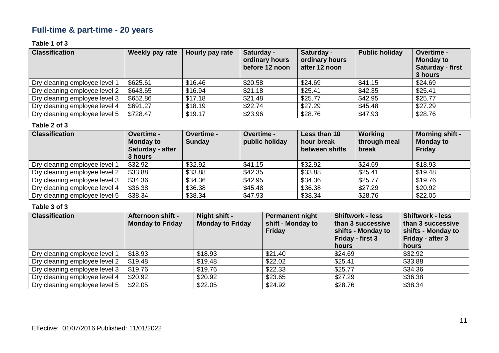## **Full-time & part-time - 20 years**

#### **Table 1 of 3**

| <b>Classification</b>         | <b>Weekly pay rate</b> | Hourly pay rate | Saturday -<br>ordinary hours<br>before 12 noon | Saturday -<br>ordinary hours<br>after 12 noon | <b>Public holiday</b> | <b>Overtime -</b><br><b>Monday to</b><br><b>Saturday - first</b><br>3 hours |
|-------------------------------|------------------------|-----------------|------------------------------------------------|-----------------------------------------------|-----------------------|-----------------------------------------------------------------------------|
| Dry cleaning employee level   | \$625.61               | \$16.46         | \$20.58                                        | \$24.69                                       | \$41.15               | \$24.69                                                                     |
| Dry cleaning employee level 2 | \$643.65               | \$16.94         | \$21.18                                        | \$25.41                                       | \$42.35               | \$25.41                                                                     |
| Dry cleaning employee level 3 | \$652.86               | \$17.18         | \$21.48                                        | \$25.77                                       | \$42.95               | \$25.77                                                                     |
| Dry cleaning employee level 4 | \$691.27               | \$18.19         | \$22.74                                        | \$27.29                                       | \$45.48               | \$27.29                                                                     |
| Dry cleaning employee level 5 | \$728.47               | \$19.17         | \$23.96                                        | \$28.76                                       | \$47.93               | \$28.76                                                                     |

#### **Table 2 of 3**

| <b>Classification</b>         | <b>Overtime -</b><br><b>Monday to</b><br>Saturday - after<br>3 hours | Overtime -<br><b>Sunday</b> | <b>Overtime -</b><br>public holiday | Less than 10<br>hour break<br>between shifts | Working<br>through meal<br>break | <b>Morning shift -</b><br><b>Monday to</b><br><b>Friday</b> |
|-------------------------------|----------------------------------------------------------------------|-----------------------------|-------------------------------------|----------------------------------------------|----------------------------------|-------------------------------------------------------------|
| Dry cleaning employee level 1 | \$32.92                                                              | \$32.92                     | \$41.15                             | \$32.92                                      | \$24.69                          | \$18.93                                                     |
| Dry cleaning employee level 2 | \$33.88                                                              | \$33.88                     | \$42.35                             | \$33.88                                      | \$25.41                          | \$19.48                                                     |
| Dry cleaning employee level 3 | \$34.36                                                              | \$34.36                     | \$42.95                             | \$34.36                                      | \$25.77                          | \$19.76                                                     |
| Dry cleaning employee level 4 | \$36.38                                                              | \$36.38                     | \$45.48                             | \$36.38                                      | \$27.29                          | \$20.92                                                     |
| Dry cleaning employee level 5 | \$38.34                                                              | \$38.34                     | \$47.93                             | \$38.34                                      | \$28.76                          | \$22.05                                                     |

| <b>Classification</b>         | <b>Afternoon shift -</b><br><b>Monday to Friday</b> | Night shift -<br><b>Monday to Friday</b> | <b>Permanent night</b><br>shift - Monday to<br><b>Friday</b> | <b>Shiftwork - less</b><br>than 3 successive<br>shifts - Monday to<br>Friday - first 3<br>hours | <b>Shiftwork - less</b><br>than 3 successive<br>shifts - Monday to<br>Friday - after 3<br>hours |
|-------------------------------|-----------------------------------------------------|------------------------------------------|--------------------------------------------------------------|-------------------------------------------------------------------------------------------------|-------------------------------------------------------------------------------------------------|
| Dry cleaning employee level 1 | \$18.93                                             | \$18.93                                  | \$21.40                                                      | \$24.69                                                                                         | \$32.92                                                                                         |
| Dry cleaning employee level 2 | \$19.48                                             | \$19.48                                  | \$22.02                                                      | \$25.41                                                                                         | \$33.88                                                                                         |
| Dry cleaning employee level 3 | \$19.76                                             | \$19.76                                  | \$22.33                                                      | \$25.77                                                                                         | \$34.36                                                                                         |
| Dry cleaning employee level 4 | \$20.92                                             | \$20.92                                  | \$23.65                                                      | \$27.29                                                                                         | \$36.38                                                                                         |
| Dry cleaning employee level 5 | \$22.05                                             | \$22.05                                  | \$24.92                                                      | \$28.76                                                                                         | \$38.34                                                                                         |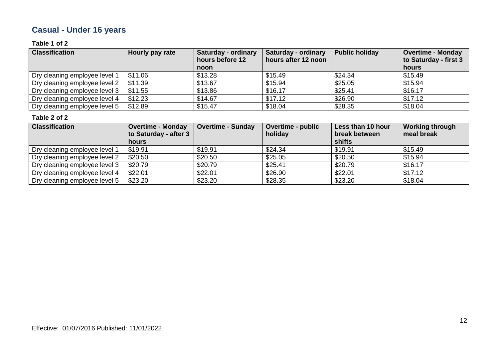## **Casual - Under 16 years**

#### **Table 1 of 2**

| <b>Classification</b>         | Hourly pay rate | <b>Saturday - ordinary</b><br>hours before 12<br>noon | <b>Saturday - ordinary</b><br>hours after 12 noon | <b>Public holiday</b> | <b>Overtime - Monday</b><br>to Saturday - first 3<br>hours |
|-------------------------------|-----------------|-------------------------------------------------------|---------------------------------------------------|-----------------------|------------------------------------------------------------|
| Dry cleaning employee level 1 | \$11.06         | \$13.28                                               | \$15.49                                           | \$24.34               | \$15.49                                                    |
| Dry cleaning employee level 2 | \$11.39         | \$13.67                                               | \$15.94                                           | \$25.05               | \$15.94                                                    |
|                               |                 |                                                       |                                                   |                       |                                                            |
| Dry cleaning employee level 3 | \$11.55         | \$13.86                                               | \$16.17                                           | \$25.41               | \$16.17                                                    |
| Dry cleaning employee level 4 | \$12.23         | \$14.67                                               | \$17.12                                           | \$26.90               | \$17.12                                                    |
| Dry cleaning employee level 5 | \$12.89         | \$15.47                                               | \$18.04                                           | \$28.35               | \$18.04                                                    |

| <b>Classification</b>         | <b>Overtime - Monday</b><br>to Saturday - after 3 | <b>Overtime - Sunday</b> | <b>Overtime - public</b><br>holiday | Less than 10 hour<br>break between | <b>Working through</b><br>meal break |
|-------------------------------|---------------------------------------------------|--------------------------|-------------------------------------|------------------------------------|--------------------------------------|
|                               | hours                                             |                          |                                     | shifts                             |                                      |
| Dry cleaning employee level 1 | \$19.91                                           | \$19.91                  | \$24.34                             | \$19.91                            | \$15.49                              |
| Dry cleaning employee level 2 | \$20.50                                           | \$20.50                  | \$25.05                             | \$20.50                            | \$15.94                              |
| Dry cleaning employee level 3 | \$20.79                                           | \$20.79                  | \$25.41                             | \$20.79                            | \$16.17                              |
| Dry cleaning employee level 4 | \$22.01                                           | \$22.01                  | \$26.90                             | \$22.01                            | \$17.12                              |
| Dry cleaning employee level 5 | \$23.20                                           | \$23.20                  | \$28.35                             | \$23.20                            | \$18.04                              |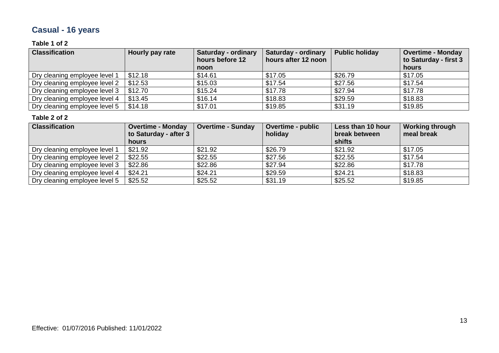## **Casual - 16 years**

#### **Table 1 of 2**

| <b>Classification</b>         | Hourly pay rate | <b>Saturday - ordinary</b><br>hours before 12<br>noon | Saturday - ordinary<br>hours after 12 noon | <b>Public holiday</b> | <b>Overtime - Monday</b><br>to Saturday - first 3<br>hours |
|-------------------------------|-----------------|-------------------------------------------------------|--------------------------------------------|-----------------------|------------------------------------------------------------|
| Dry cleaning employee level 1 | \$12.18         | \$14.61                                               | \$17.05                                    | \$26.79               | \$17.05                                                    |
| Dry cleaning employee level 2 | \$12.53         | \$15.03                                               | \$17.54                                    | \$27.56               | \$17.54                                                    |
| Dry cleaning employee level 3 | \$12.70         | \$15.24                                               | \$17.78                                    | \$27.94               | \$17.78                                                    |
| Dry cleaning employee level 4 | \$13.45         | \$16.14                                               | \$18.83                                    | \$29.59               | \$18.83                                                    |
| Dry cleaning employee level 5 | \$14.18         | \$17.01                                               | \$19.85                                    | \$31.19               | \$19.85                                                    |

| <b>Classification</b>         | <b>Overtime - Monday</b><br>to Saturday - after 3 | <b>Overtime - Sunday</b> | <b>Overtime - public</b><br>holiday | Less than 10 hour<br>break between | <b>Working through</b><br>meal break |
|-------------------------------|---------------------------------------------------|--------------------------|-------------------------------------|------------------------------------|--------------------------------------|
|                               | hours                                             |                          |                                     | shifts                             |                                      |
| Dry cleaning employee level 1 | \$21.92                                           | \$21.92                  | \$26.79                             | \$21.92                            | \$17.05                              |
| Dry cleaning employee level 2 | \$22.55                                           | \$22.55                  | \$27.56                             | \$22.55                            | \$17.54                              |
| Dry cleaning employee level 3 | \$22.86                                           | \$22.86                  | \$27.94                             | \$22.86                            | \$17.78                              |
| Dry cleaning employee level 4 | \$24.21                                           | \$24.21                  | \$29.59                             | \$24.21                            | \$18.83                              |
| Dry cleaning employee level 5 | \$25.52                                           | \$25.52                  | \$31.19                             | \$25.52                            | \$19.85                              |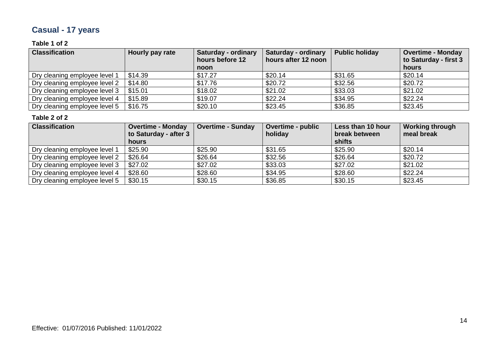## **Casual - 17 years**

#### **Table 1 of 2**

| <b>Classification</b>         | Hourly pay rate | <b>Saturday - ordinary</b><br>hours before 12<br>noon | Saturday - ordinary<br>hours after 12 noon | <b>Public holiday</b> | <b>Overtime - Monday</b><br>to Saturday - first 3<br>hours |
|-------------------------------|-----------------|-------------------------------------------------------|--------------------------------------------|-----------------------|------------------------------------------------------------|
| Dry cleaning employee level 1 | \$14.39         | \$17.27                                               | \$20.14                                    | \$31.65               | \$20.14                                                    |
| Dry cleaning employee level 2 | \$14.80         | \$17.76                                               | \$20.72                                    | \$32.56               | \$20.72                                                    |
| Dry cleaning employee level 3 | \$15.01         | \$18.02                                               | \$21.02                                    | \$33.03               | \$21.02                                                    |
| Dry cleaning employee level 4 | \$15.89         | \$19.07                                               | \$22.24                                    | \$34.95               | \$22.24                                                    |
| Dry cleaning employee level 5 | \$16.75         | \$20.10                                               | \$23.45                                    | \$36.85               | \$23.45                                                    |

| <b>Classification</b>         | <b>Overtime - Monday</b><br>to Saturday - after 3 | <b>Overtime - Sunday</b> | <b>Overtime - public</b><br>holiday | Less than 10 hour<br>break between | <b>Working through</b><br>meal break |
|-------------------------------|---------------------------------------------------|--------------------------|-------------------------------------|------------------------------------|--------------------------------------|
|                               | hours                                             |                          |                                     | shifts                             |                                      |
| Dry cleaning employee level 1 | \$25.90                                           | \$25.90                  | \$31.65                             | \$25.90                            | \$20.14                              |
| Dry cleaning employee level 2 | \$26.64                                           | \$26.64                  | \$32.56                             | \$26.64                            | \$20.72                              |
| Dry cleaning employee level 3 | \$27.02                                           | \$27.02                  | \$33.03                             | \$27.02                            | \$21.02                              |
| Dry cleaning employee level 4 | \$28.60                                           | \$28.60                  | \$34.95                             | \$28.60                            | \$22.24                              |
| Dry cleaning employee level 5 | \$30.15                                           | \$30.15                  | \$36.85                             | \$30.15                            | \$23.45                              |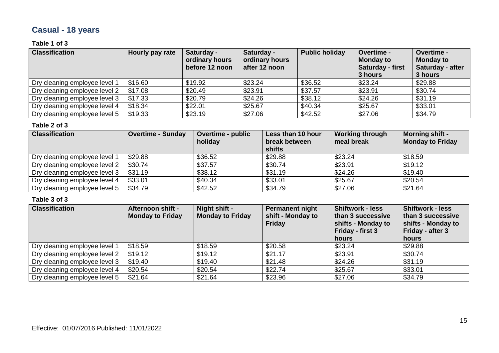## **Casual - 18 years**

#### **Table 1 of 3**

| <b>Classification</b>         | Hourly pay rate | Saturday -<br>ordinary hours<br>before 12 noon | Saturday -<br>ordinary hours<br>after 12 noon | <b>Public holiday</b> | Overtime -<br><b>Monday to</b><br>Saturday - first<br>3 hours | <b>Overtime -</b><br><b>Monday to</b><br>Saturday - after<br>3 hours |
|-------------------------------|-----------------|------------------------------------------------|-----------------------------------------------|-----------------------|---------------------------------------------------------------|----------------------------------------------------------------------|
| Dry cleaning employee level 1 | \$16.60         | \$19.92                                        | \$23.24                                       | \$36.52               | \$23.24                                                       | \$29.88                                                              |
| Dry cleaning employee level 2 | \$17.08         | \$20.49                                        | \$23.91                                       | \$37.57               | \$23.91                                                       | \$30.74                                                              |
| Dry cleaning employee level 3 | \$17.33         | \$20.79                                        | \$24.26                                       | \$38.12               | \$24.26                                                       | \$31.19                                                              |
| Dry cleaning employee level 4 | \$18.34         | \$22.01                                        | \$25.67                                       | \$40.34               | \$25.67                                                       | \$33.01                                                              |
| Dry cleaning employee level 5 | \$19.33         | \$23.19                                        | \$27.06                                       | \$42.52               | \$27.06                                                       | \$34.79                                                              |

#### **Table 2 of 3**

| <b>Classification</b>         | <b>Overtime - Sunday</b> | <b>Overtime - public</b><br>holiday | Less than 10 hour<br>break between<br>shifts | <b>Working through</b><br>meal break | <b>Morning shift -</b><br><b>Monday to Friday</b> |
|-------------------------------|--------------------------|-------------------------------------|----------------------------------------------|--------------------------------------|---------------------------------------------------|
| Dry cleaning employee level 1 | \$29.88                  | \$36.52                             | \$29.88                                      | \$23.24                              | \$18.59                                           |
| Dry cleaning employee level 2 | \$30.74                  | \$37.57                             | \$30.74                                      | \$23.91                              | \$19.12                                           |
| Dry cleaning employee level 3 | \$31.19                  | \$38.12                             | \$31.19                                      | \$24.26                              | \$19.40                                           |
| Dry cleaning employee level 4 | \$33.01                  | \$40.34                             | \$33.01                                      | \$25.67                              | \$20.54                                           |
| Dry cleaning employee level 5 | \$34.79                  | \$42.52                             | \$34.79                                      | \$27.06                              | \$21.64                                           |

| <b>Classification</b>         | <b>Afternoon shift -</b><br><b>Monday to Friday</b> | Night shift -<br><b>Monday to Friday</b> | Permanent night<br>shift - Monday to<br><b>Friday</b> | <b>Shiftwork - less</b><br>than 3 successive<br>shifts - Monday to<br>Friday - first 3<br>hours | <b>Shiftwork - less</b><br>than 3 successive<br>shifts - Monday to<br>Friday - after 3<br>hours |
|-------------------------------|-----------------------------------------------------|------------------------------------------|-------------------------------------------------------|-------------------------------------------------------------------------------------------------|-------------------------------------------------------------------------------------------------|
| Dry cleaning employee level 1 | \$18.59                                             | \$18.59                                  | \$20.58                                               | \$23.24                                                                                         | \$29.88                                                                                         |
| Dry cleaning employee level 2 | \$19.12                                             | \$19.12                                  | \$21.17                                               | \$23.91                                                                                         | \$30.74                                                                                         |
| Dry cleaning employee level 3 | \$19.40                                             | \$19.40                                  | \$21.48                                               | \$24.26                                                                                         | \$31.19                                                                                         |
| Dry cleaning employee level 4 | \$20.54                                             | \$20.54                                  | \$22.74                                               | \$25.67                                                                                         | \$33.01                                                                                         |
| Dry cleaning employee level 5 | \$21.64                                             | \$21.64                                  | \$23.96                                               | \$27.06                                                                                         | \$34.79                                                                                         |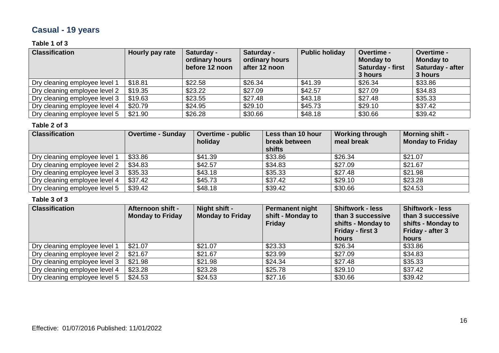## **Casual - 19 years**

#### **Table 1 of 3**

| <b>Classification</b>         | Hourly pay rate | Saturday -<br>ordinary hours<br>before 12 noon | Saturday -<br>ordinary hours<br>after 12 noon | <b>Public holiday</b> | Overtime -<br><b>Monday to</b><br>Saturday - first<br>3 hours | <b>Overtime -</b><br><b>Monday to</b><br>Saturday - after<br>3 hours |
|-------------------------------|-----------------|------------------------------------------------|-----------------------------------------------|-----------------------|---------------------------------------------------------------|----------------------------------------------------------------------|
| Dry cleaning employee level 1 | \$18.81         | \$22.58                                        | \$26.34                                       | \$41.39               | \$26.34                                                       | \$33.86                                                              |
| Dry cleaning employee level 2 | \$19.35         | \$23.22                                        | \$27.09                                       | \$42.57               | \$27.09                                                       | \$34.83                                                              |
| Dry cleaning employee level 3 | \$19.63         | \$23.55                                        | \$27.48                                       | \$43.18               | \$27.48                                                       | \$35.33                                                              |
| Dry cleaning employee level 4 | \$20.79         | \$24.95                                        | \$29.10                                       | \$45.73               | \$29.10                                                       | \$37.42                                                              |
| Dry cleaning employee level 5 | \$21.90         | \$26.28                                        | \$30.66                                       | \$48.18               | \$30.66                                                       | \$39.42                                                              |

#### **Table 2 of 3**

| <b>Classification</b>         | <b>Overtime - Sunday</b> | <b>Overtime - public</b><br>holiday | Less than 10 hour<br>break between<br>shifts | <b>Working through</b><br>meal break | <b>Morning shift -</b><br><b>Monday to Friday</b> |
|-------------------------------|--------------------------|-------------------------------------|----------------------------------------------|--------------------------------------|---------------------------------------------------|
| Dry cleaning employee level 1 | \$33.86                  | \$41.39                             | \$33.86                                      | \$26.34                              | \$21.07                                           |
| Dry cleaning employee level 2 | \$34.83                  | \$42.57                             | \$34.83                                      | \$27.09                              | \$21.67                                           |
| Dry cleaning employee level 3 | \$35.33                  | \$43.18                             | \$35.33                                      | \$27.48                              | \$21.98                                           |
| Dry cleaning employee level 4 | \$37.42                  | \$45.73                             | \$37.42                                      | \$29.10                              | \$23.28                                           |
| Dry cleaning employee level 5 | \$39.42                  | \$48.18                             | \$39.42                                      | \$30.66                              | \$24.53                                           |

| <b>Classification</b>         | <b>Afternoon shift -</b><br><b>Monday to Friday</b> | Night shift -<br><b>Monday to Friday</b> | Permanent night<br>shift - Monday to<br><b>Friday</b> | <b>Shiftwork - less</b><br>than 3 successive<br>shifts - Monday to<br>Friday - first 3<br>hours | <b>Shiftwork - less</b><br>than 3 successive<br>shifts - Monday to<br>Friday - after 3<br>hours |
|-------------------------------|-----------------------------------------------------|------------------------------------------|-------------------------------------------------------|-------------------------------------------------------------------------------------------------|-------------------------------------------------------------------------------------------------|
| Dry cleaning employee level 1 | \$21.07                                             | \$21.07                                  | \$23.33                                               | \$26.34                                                                                         | \$33.86                                                                                         |
| Dry cleaning employee level 2 | \$21.67                                             | \$21.67                                  | \$23.99                                               | \$27.09                                                                                         | \$34.83                                                                                         |
| Dry cleaning employee level 3 | \$21.98                                             | \$21.98                                  | \$24.34                                               | \$27.48                                                                                         | \$35.33                                                                                         |
| Dry cleaning employee level 4 | \$23.28                                             | \$23.28                                  | \$25.78                                               | \$29.10                                                                                         | \$37.42                                                                                         |
| Dry cleaning employee level 5 | \$24.53                                             | \$24.53                                  | \$27.16                                               | \$30.66                                                                                         | \$39.42                                                                                         |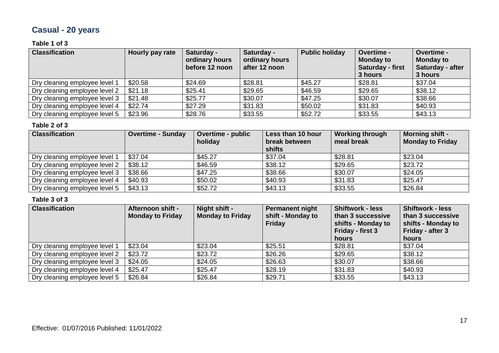## **Casual - 20 years**

#### **Table 1 of 3**

| <b>Classification</b>         | Hourly pay rate | Saturday -<br>ordinary hours<br>before 12 noon | Saturday -<br>ordinary hours<br>after 12 noon | <b>Public holiday</b> | Overtime -<br><b>Monday to</b><br>Saturday - first<br>3 hours | <b>Overtime -</b><br><b>Monday to</b><br>Saturday - after<br>3 hours |
|-------------------------------|-----------------|------------------------------------------------|-----------------------------------------------|-----------------------|---------------------------------------------------------------|----------------------------------------------------------------------|
| Dry cleaning employee level 1 | \$20.58         | \$24.69                                        | \$28.81                                       | \$45.27               | \$28.81                                                       | \$37.04                                                              |
| Dry cleaning employee level 2 | \$21.18         | \$25.41                                        | \$29.65                                       | \$46.59               | \$29.65                                                       | \$38.12                                                              |
| Dry cleaning employee level 3 | \$21.48         | \$25.77                                        | \$30.07                                       | \$47.25               | \$30.07                                                       | \$38.66                                                              |
| Dry cleaning employee level 4 | \$22.74         | \$27.29                                        | \$31.83                                       | \$50.02               | \$31.83                                                       | \$40.93                                                              |
| Dry cleaning employee level 5 | \$23.96         | \$28.76                                        | \$33.55                                       | \$52.72               | \$33.55                                                       | \$43.13                                                              |

#### **Table 2 of 3**

| <b>Classification</b>         | <b>Overtime - Sunday</b> | <b>Overtime - public</b><br>holiday | Less than 10 hour<br>break between<br>shifts | <b>Working through</b><br>meal break | <b>Morning shift -</b><br><b>Monday to Friday</b> |
|-------------------------------|--------------------------|-------------------------------------|----------------------------------------------|--------------------------------------|---------------------------------------------------|
| Dry cleaning employee level 1 | \$37.04                  | \$45.27                             | \$37.04                                      | \$28.81                              | \$23.04                                           |
| Dry cleaning employee level 2 | \$38.12                  | \$46.59                             | \$38.12                                      | \$29.65                              | \$23.72                                           |
| Dry cleaning employee level 3 | \$38.66                  | \$47.25                             | \$38.66                                      | \$30.07                              | \$24.05                                           |
| Dry cleaning employee level 4 | \$40.93                  | \$50.02                             | \$40.93                                      | \$31.83                              | \$25.47                                           |
| Dry cleaning employee level 5 | \$43.13                  | \$52.72                             | \$43.13                                      | \$33.55                              | \$26.84                                           |

| <b>Classification</b>         | <b>Afternoon shift -</b><br><b>Monday to Friday</b> | Night shift -<br><b>Monday to Friday</b> | <b>Permanent night</b><br>shift - Monday to<br><b>Friday</b> | <b>Shiftwork - less</b><br>than 3 successive<br>shifts - Monday to<br>Friday - first 3<br>hours | <b>Shiftwork - less</b><br>than 3 successive<br>shifts - Monday to<br>Friday - after 3<br>hours |
|-------------------------------|-----------------------------------------------------|------------------------------------------|--------------------------------------------------------------|-------------------------------------------------------------------------------------------------|-------------------------------------------------------------------------------------------------|
| Dry cleaning employee level 1 | \$23.04                                             | \$23.04                                  | \$25.51                                                      | \$28.81                                                                                         | \$37.04                                                                                         |
| Dry cleaning employee level 2 | \$23.72                                             | \$23.72                                  | \$26.26                                                      | \$29.65                                                                                         | \$38.12                                                                                         |
| Dry cleaning employee level 3 | \$24.05                                             | \$24.05                                  | \$26.63                                                      | \$30.07                                                                                         | \$38.66                                                                                         |
| Dry cleaning employee level 4 | \$25.47                                             | \$25.47                                  | \$28.19                                                      | \$31.83                                                                                         | \$40.93                                                                                         |
| Dry cleaning employee level 5 | \$26.84                                             | \$26.84                                  | \$29.71                                                      | \$33.55                                                                                         | \$43.13                                                                                         |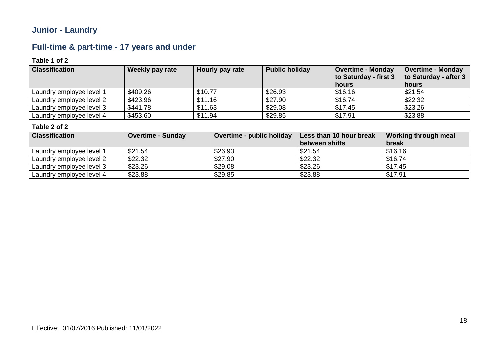### **Junior - Laundry**

### **Full-time & part-time - 17 years and under**

#### **Table 1 of 2**

| <b>Classification</b>    | Weekly pay rate | Hourly pay rate | <b>Public holiday</b> | <b>Overtime - Monday</b><br>to Saturday - first 3<br>hours | <b>Overtime - Monday</b><br>to Saturday - after 3<br>hours |
|--------------------------|-----------------|-----------------|-----------------------|------------------------------------------------------------|------------------------------------------------------------|
| Laundry employee level 1 | \$409.26        | \$10.77         | \$26.93               | \$16.16                                                    | \$21.54                                                    |
| Laundry employee level 2 | \$423.96        | \$11.16         | \$27.90               | \$16.74                                                    | \$22.32                                                    |
| Laundry employee level 3 | \$441.78        | \$11.63         | \$29.08               | \$17.45                                                    | \$23.26                                                    |
| Laundry employee level 4 | \$453.60        | \$11.94         | \$29.85               | \$17.91                                                    | \$23.88                                                    |

| <b>Classification</b>    | <b>Overtime - Sunday</b> | Overtime - public holiday | Less than 10 hour break | Working through meal |
|--------------------------|--------------------------|---------------------------|-------------------------|----------------------|
|                          |                          |                           | between shifts          | break                |
| Laundry employee level 1 | \$21.54                  | \$26.93                   | \$21.54                 | \$16.16              |
| Laundry employee level 2 | \$22.32                  | \$27.90                   | \$22.32                 | \$16.74              |
| Laundry employee level 3 | \$23.26                  | \$29.08                   | \$23.26                 | \$17.45              |
| Laundry employee level 4 | \$23.88                  | \$29.85                   | \$23.88                 | \$17.91              |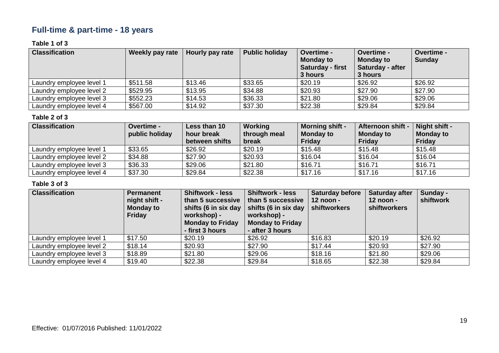### **Full-time & part-time - 18 years**

#### **Table 1 of 3**

| <b>Classification</b>    | Weekly pay rate | Hourly pay rate | <b>Public holiday</b> | <b>Overtime -</b><br><b>Monday to</b><br><b>Saturday - first</b><br>3 hours | Overtime -<br><b>Monday to</b><br>Saturday - after<br>3 hours | <b>Overtime -</b><br><b>Sunday</b> |
|--------------------------|-----------------|-----------------|-----------------------|-----------------------------------------------------------------------------|---------------------------------------------------------------|------------------------------------|
| Laundry employee level 1 | \$511.58        | \$13.46         | \$33.65               | \$20.19                                                                     | \$26.92                                                       | \$26.92                            |
| Laundry employee level 2 | \$529.95        | \$13.95         | \$34.88               | \$20.93                                                                     | \$27.90                                                       | \$27.90                            |
| Laundry employee level 3 | \$552.23        | \$14.53         | \$36.33               | \$21.80                                                                     | \$29.06                                                       | \$29.06                            |
| Laundry employee level 4 | \$567.00        | \$14.92         | \$37.30               | \$22.38                                                                     | \$29.84                                                       | \$29.84                            |

#### **Table 2 of 3**

| <b>Classification</b>    | <b>Overtime -</b><br>public holiday | Less than 10<br>hour break<br>between shifts | <b>Working</b><br>through meal<br>break | <b>Morning shift -</b><br><b>Monday to</b><br><b>Friday</b> | <b>Afternoon shift -</b><br><b>Monday to</b><br>Friday | Night shift -<br><b>Monday to</b><br><b>Friday</b> |
|--------------------------|-------------------------------------|----------------------------------------------|-----------------------------------------|-------------------------------------------------------------|--------------------------------------------------------|----------------------------------------------------|
| Laundry employee level 1 | \$33.65                             | \$26.92                                      | \$20.19                                 | \$15.48                                                     | \$15.48                                                | \$15.48                                            |
| Laundry employee level 2 | \$34.88                             | \$27.90                                      | \$20.93                                 | \$16.04                                                     | \$16.04                                                | \$16.04                                            |
| Laundry employee level 3 | \$36.33                             | \$29.06                                      | \$21.80                                 | \$16.71                                                     | \$16.71                                                | \$16.71                                            |
| Laundry employee level 4 | \$37.30                             | \$29.84                                      | \$22.38                                 | \$17.16                                                     | \$17.16                                                | \$17.16                                            |

| <b>Classification</b>    | <b>Permanent</b><br>night shift -<br><b>Monday to</b><br><b>Friday</b> | <b>Shiftwork - less</b><br>than 5 successive<br>shifts (6 in six day<br>workshop) -<br><b>Monday to Friday</b><br>- first 3 hours | <b>Shiftwork - less</b><br>than 5 successive<br>shifts (6 in six day<br>workshop) -<br><b>Monday to Friday</b><br>- after 3 hours | <b>Saturday before</b><br>12 noon -<br>shiftworkers | Saturday after<br>$12$ noon -<br><b>shiftworkers</b> | Sunday -<br>shiftwork |
|--------------------------|------------------------------------------------------------------------|-----------------------------------------------------------------------------------------------------------------------------------|-----------------------------------------------------------------------------------------------------------------------------------|-----------------------------------------------------|------------------------------------------------------|-----------------------|
| Laundry employee level 1 | \$17.50                                                                | \$20.19                                                                                                                           | \$26.92                                                                                                                           | \$16.83                                             | \$20.19                                              | \$26.92               |
| Laundry employee level 2 | \$18.14                                                                | \$20.93                                                                                                                           | \$27.90                                                                                                                           | \$17.44                                             | \$20.93                                              | \$27.90               |
| Laundry employee level 3 | \$18.89                                                                | \$21.80                                                                                                                           | \$29.06                                                                                                                           | \$18.16                                             | \$21.80                                              | \$29.06               |
| Laundry employee level 4 | \$19.40                                                                | \$22.38                                                                                                                           | \$29.84                                                                                                                           | \$18.65                                             | \$22.38                                              | \$29.84               |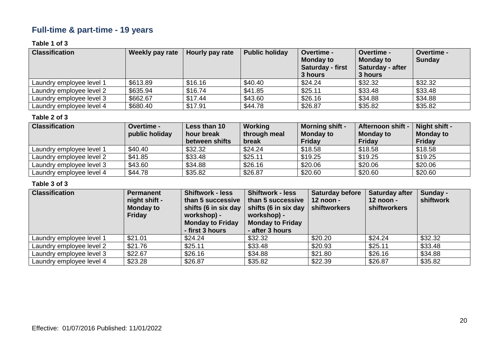### **Full-time & part-time - 19 years**

#### **Table 1 of 3**

| <b>Classification</b>    | <b>Weekly pay rate</b> | Hourly pay rate | <b>Public holiday</b> | <b>Overtime -</b><br><b>Monday to</b><br><b>Saturday - first</b><br>3 hours | <b>Overtime -</b><br><b>Monday to</b><br><b>Saturday - after</b><br>3 hours | Overtime -<br><b>Sunday</b> |
|--------------------------|------------------------|-----------------|-----------------------|-----------------------------------------------------------------------------|-----------------------------------------------------------------------------|-----------------------------|
| Laundry employee level 1 | \$613.89               | \$16.16         | \$40.40               | \$24.24                                                                     | \$32.32                                                                     | \$32.32                     |
| Laundry employee level 2 | \$635.94               | \$16.74         | \$41.85               | \$25.11                                                                     | \$33.48                                                                     | \$33.48                     |
| Laundry employee level 3 | \$662.67               | \$17.44         | \$43.60               | \$26.16                                                                     | \$34.88                                                                     | \$34.88                     |
| Laundry employee level 4 | \$680.40               | \$17.91         | \$44.78               | \$26.87                                                                     | \$35.82                                                                     | \$35.82                     |

#### **Table 2 of 3**

| <b>Classification</b>    | <b>Overtime -</b><br>public holiday | Less than 10<br>hour break<br>between shifts | Working<br>through meal<br>break | <b>Morning shift -</b><br><b>Monday to</b><br>Friday | <b>Afternoon shift -</b><br><b>Monday to</b><br><b>Friday</b> | Night shift -<br><b>Monday to</b><br><b>Friday</b> |
|--------------------------|-------------------------------------|----------------------------------------------|----------------------------------|------------------------------------------------------|---------------------------------------------------------------|----------------------------------------------------|
| Laundry employee level 1 | \$40.40                             | \$32.32                                      | \$24.24                          | \$18.58                                              | \$18.58                                                       | \$18.58                                            |
| Laundry employee level 2 | \$41.85                             | \$33.48                                      | \$25.11                          | \$19.25                                              | \$19.25                                                       | \$19.25                                            |
| Laundry employee level 3 | \$43.60                             | \$34.88                                      | \$26.16                          | \$20.06                                              | \$20.06                                                       | \$20.06                                            |
| Laundry employee level 4 | \$44.78                             | \$35.82                                      | \$26.87                          | \$20.60                                              | \$20.60                                                       | \$20.60                                            |

| <b>Classification</b>    | <b>Permanent</b><br>night shift -<br><b>Monday to</b><br>Friday | <b>Shiftwork - less</b><br>than 5 successive<br>shifts (6 in six day<br>workshop) -<br><b>Monday to Friday</b><br>- first 3 hours | <b>Shiftwork - less</b><br>than 5 successive<br>shifts (6 in six day<br>workshop) -<br><b>Monday to Friday</b><br>- after 3 hours | <b>Saturday before</b><br>12 noon -<br>shiftworkers | <b>Saturday after</b><br>$12$ noon -<br>shiftworkers | Sunday -<br>shiftwork |
|--------------------------|-----------------------------------------------------------------|-----------------------------------------------------------------------------------------------------------------------------------|-----------------------------------------------------------------------------------------------------------------------------------|-----------------------------------------------------|------------------------------------------------------|-----------------------|
| Laundry employee level 1 | \$21.01                                                         | \$24.24                                                                                                                           | \$32.32                                                                                                                           | \$20.20                                             | \$24.24                                              | \$32.32               |
| Laundry employee level 2 | \$21.76                                                         | \$25.11                                                                                                                           | \$33.48                                                                                                                           | \$20.93                                             | \$25.11                                              | \$33.48               |
| Laundry employee level 3 | \$22.67                                                         | \$26.16                                                                                                                           | \$34.88                                                                                                                           | \$21.80                                             | \$26.16                                              | \$34.88               |
| Laundry employee level 4 | \$23.28                                                         | \$26.87                                                                                                                           | \$35.82                                                                                                                           | \$22.39                                             | \$26.87                                              | \$35.82               |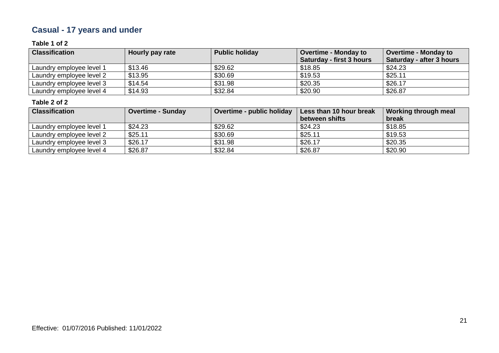## **Casual - 17 years and under**

#### **Table 1 of 2**

| <b>Classification</b>    | Hourly pay rate | <b>Public holiday</b> | <b>Overtime - Monday to</b><br>Saturday - first 3 hours | <b>Overtime - Monday to</b><br>Saturday - after 3 hours |
|--------------------------|-----------------|-----------------------|---------------------------------------------------------|---------------------------------------------------------|
| Laundry employee level 1 | \$13.46         | \$29.62               | \$18.85                                                 | \$24.23                                                 |
| Laundry employee level 2 | \$13.95         | \$30.69               | \$19.53                                                 | \$25.11                                                 |
| Laundry employee level 3 | \$14.54         | \$31.98               | \$20.35                                                 | \$26.17                                                 |
| Laundry employee level 4 | \$14.93         | \$32.84               | \$20.90                                                 | \$26.87                                                 |

| <b>Classification</b>    | <b>Overtime - Sunday</b> | Overtime - public holiday | Less than 10 hour break | Working through meal |
|--------------------------|--------------------------|---------------------------|-------------------------|----------------------|
|                          |                          |                           | between shifts          | break                |
| Laundry employee level 1 | \$24.23                  | \$29.62                   | \$24.23                 | \$18.85              |
| Laundry employee level 2 | \$25.11                  | \$30.69                   | \$25.11                 | \$19.53              |
| Laundry employee level 3 | \$26.17                  | \$31.98                   | \$26.17                 | \$20.35              |
| Laundry employee level 4 | \$26.87                  | \$32.84                   | \$26.87                 | \$20.90              |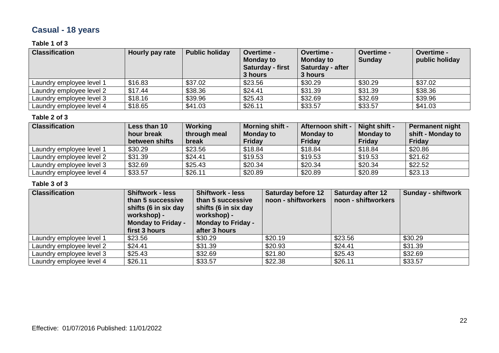## **Casual - 18 years**

#### **Table 1 of 3**

| <b>Classification</b>    | Hourly pay rate | <b>Public holiday</b> | <b>Overtime -</b><br><b>Monday to</b><br>Saturday - first<br>3 hours | Overtime -<br><b>Monday to</b><br>Saturday - after<br>3 hours | Overtime -<br><b>Sunday</b> | Overtime -<br>public holiday |
|--------------------------|-----------------|-----------------------|----------------------------------------------------------------------|---------------------------------------------------------------|-----------------------------|------------------------------|
| Laundry employee level 1 | \$16.83         | \$37.02               | \$23.56                                                              | \$30.29                                                       | \$30.29                     | \$37.02                      |
| Laundry employee level 2 | \$17.44         | \$38.36               | \$24.41                                                              | \$31.39                                                       | \$31.39                     | \$38.36                      |
| Laundry employee level 3 | \$18.16         | \$39.96               | \$25.43                                                              | \$32.69                                                       | \$32.69                     | \$39.96                      |
| Laundry employee level 4 | \$18.65         | \$41.03               | \$26.11                                                              | \$33.57                                                       | \$33.57                     | \$41.03                      |

#### **Table 2 of 3**

| <b>Classification</b>    | Less than 10<br>hour break<br>between shifts | Working<br>through meal<br>break | <b>Morning shift -</b><br><b>Monday to</b><br><b>Friday</b> | <b>Afternoon shift -</b><br><b>Monday to</b><br>Friday | $\vert$ Night shift -<br><b>Monday to</b><br>Friday | <b>Permanent night</b><br>shift - Monday to<br>Friday |
|--------------------------|----------------------------------------------|----------------------------------|-------------------------------------------------------------|--------------------------------------------------------|-----------------------------------------------------|-------------------------------------------------------|
| Laundry employee level 1 | \$30.29                                      | \$23.56                          | \$18.84                                                     | \$18.84                                                | \$18.84                                             | \$20.86                                               |
| Laundry employee level 2 | \$31.39                                      | \$24.41                          | \$19.53                                                     | \$19.53                                                | \$19.53                                             | \$21.62                                               |
| Laundry employee level 3 | \$32.69                                      | \$25.43                          | \$20.34                                                     | \$20.34                                                | \$20.34                                             | \$22.52                                               |
| Laundry employee level 4 | \$33.57                                      | \$26.11                          | \$20.89                                                     | \$20.89                                                | \$20.89                                             | \$23.13                                               |

| <b>Classification</b>    | <b>Shiftwork - less</b><br>than 5 successive<br>shifts (6 in six day<br>workshop) -<br><b>Monday to Friday -</b><br>first 3 hours | <b>Shiftwork - less</b><br>than 5 successive<br>shifts (6 in six day<br>workshop) -<br><b>Monday to Friday -</b><br>after 3 hours | <b>Saturday before 12</b><br>noon - shiftworkers | <b>Saturday after 12</b><br>noon - shiftworkers | <b>Sunday - shiftwork</b> |
|--------------------------|-----------------------------------------------------------------------------------------------------------------------------------|-----------------------------------------------------------------------------------------------------------------------------------|--------------------------------------------------|-------------------------------------------------|---------------------------|
| Laundry employee level 1 | \$23.56                                                                                                                           | \$30.29                                                                                                                           | \$20.19                                          | \$23.56                                         | \$30.29                   |
| Laundry employee level 2 | \$24.41                                                                                                                           | \$31.39                                                                                                                           | \$20.93                                          | \$24.41                                         | \$31.39                   |
| Laundry employee level 3 | \$25.43                                                                                                                           | \$32.69                                                                                                                           | \$21.80                                          | \$25.43                                         | \$32.69                   |
| Laundry employee level 4 | \$26.11                                                                                                                           | \$33.57                                                                                                                           | \$22.38                                          | \$26.11                                         | \$33.57                   |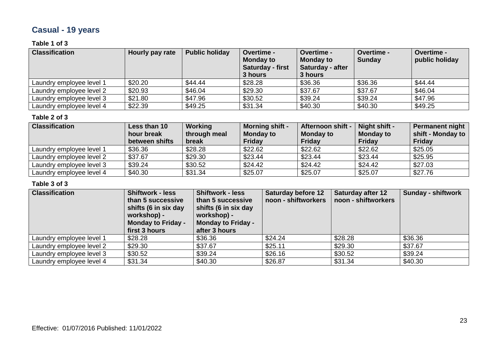## **Casual - 19 years**

#### **Table 1 of 3**

| <b>Classification</b>    | Hourly pay rate | <b>Public holiday</b> | <b>Overtime -</b><br><b>Monday to</b><br>Saturday - first<br>3 hours | <b>Overtime -</b><br><b>Monday to</b><br>Saturday - after<br>3 hours | <b>Overtime -</b><br><b>Sunday</b> | Overtime -<br>public holiday |
|--------------------------|-----------------|-----------------------|----------------------------------------------------------------------|----------------------------------------------------------------------|------------------------------------|------------------------------|
| Laundry employee level 1 | \$20.20         | \$44.44               | \$28.28                                                              | \$36.36                                                              | \$36.36                            | \$44.44                      |
| Laundry employee level 2 | \$20.93         | \$46.04               | \$29.30                                                              | \$37.67                                                              | \$37.67                            | \$46.04                      |
| Laundry employee level 3 | \$21.80         | \$47.96               | \$30.52                                                              | \$39.24                                                              | \$39.24                            | \$47.96                      |
| Laundry employee level 4 | \$22.39         | \$49.25               | \$31.34                                                              | \$40.30                                                              | \$40.30                            | \$49.25                      |

#### **Table 2 of 3**

| <b>Classification</b>    | Less than 10<br>hour break<br>between shifts | Working<br>through meal<br>break | <b>Morning shift -</b><br><b>Monday to</b><br><b>Friday</b> | Afternoon shift -<br><b>Monday to</b><br>Friday | Night shift -<br><b>Monday to</b><br>Friday | Permanent night<br>shift - Monday to<br>Friday |
|--------------------------|----------------------------------------------|----------------------------------|-------------------------------------------------------------|-------------------------------------------------|---------------------------------------------|------------------------------------------------|
| Laundry employee level 1 | \$36.36                                      | \$28.28                          | \$22.62                                                     | \$22.62                                         | \$22.62                                     | \$25.05                                        |
| Laundry employee level 2 | \$37.67                                      | \$29.30                          | \$23.44                                                     | \$23.44                                         | \$23.44                                     | \$25.95                                        |
| Laundry employee level 3 | \$39.24                                      | \$30.52                          | \$24.42                                                     | \$24.42                                         | \$24.42                                     | \$27.03                                        |
| Laundry employee level 4 | \$40.30                                      | \$31.34                          | \$25.07                                                     | \$25.07                                         | \$25.07                                     | \$27.76                                        |

| <b>Classification</b>    | <b>Shiftwork - less</b><br>than 5 successive<br>shifts (6 in six day<br>workshop) -<br><b>Monday to Friday -</b><br>first 3 hours | <b>Shiftwork - less</b><br>than 5 successive<br>shifts (6 in six day<br>workshop) -<br><b>Monday to Friday -</b><br>after 3 hours | <b>Saturday before 12</b><br>noon - shiftworkers | <b>Saturday after 12</b><br>noon - shiftworkers | Sunday - shiftwork |
|--------------------------|-----------------------------------------------------------------------------------------------------------------------------------|-----------------------------------------------------------------------------------------------------------------------------------|--------------------------------------------------|-------------------------------------------------|--------------------|
| Laundry employee level 1 | \$28.28                                                                                                                           | \$36.36                                                                                                                           | \$24.24                                          | \$28.28                                         | \$36.36            |
| Laundry employee level 2 | \$29.30                                                                                                                           | \$37.67                                                                                                                           | \$25.11                                          | \$29.30                                         | \$37.67            |
| Laundry employee level 3 | \$30.52                                                                                                                           | \$39.24                                                                                                                           | \$26.16                                          | \$30.52                                         | \$39.24            |
| Laundry employee level 4 | \$31.34                                                                                                                           | \$40.30                                                                                                                           | \$26.87                                          | \$31.34                                         | \$40.30            |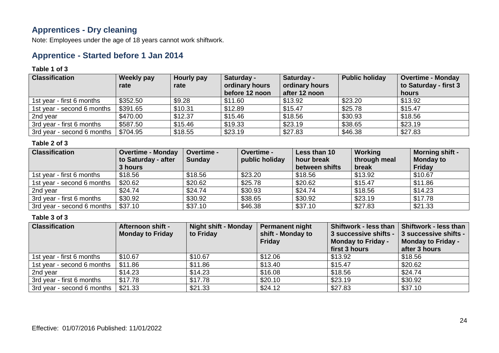### **Apprentices - Dry cleaning**

Note: Employees under the age of 18 years cannot work shiftwork.

### **Apprentice - Started before 1 Jan 2014**

#### **Table 1 of 3**

| <b>Classification</b>      | Weekly pay<br>rate | Hourly pay<br>rate | Saturday -<br>ordinary hours<br>before 12 noon | Saturday -<br>ordinary hours<br>after 12 noon | <b>Public holiday</b> | <b>Overtime - Monday</b><br>to Saturday - first 3<br>hours |
|----------------------------|--------------------|--------------------|------------------------------------------------|-----------------------------------------------|-----------------------|------------------------------------------------------------|
| 1st year - first 6 months  | \$352.50           | \$9.28             | \$11.60                                        | \$13.92                                       | \$23.20               | \$13.92                                                    |
| 1st year - second 6 months | \$391.65           | \$10.31            | \$12.89                                        | \$15.47                                       | \$25.78               | \$15.47                                                    |
| 2nd year                   | \$470.00           | \$12.37            | \$15.46                                        | \$18.56                                       | \$30.93               | \$18.56                                                    |
| 3rd year - first 6 months  | \$587.50           | \$15.46            | \$19.33                                        | \$23.19                                       | \$38.65               | \$23.19                                                    |
| 3rd year - second 6 months | \$704.95           | \$18.55            | \$23.19                                        | \$27.83                                       | \$46.38               | \$27.83                                                    |

#### **Table 2 of 3**

| <b>Classification</b>      | <b>Overtime - Monday</b> | <b>Overtime -</b> | <b>Overtime -</b> | Less than 10   | Working      | <b>Morning shift -</b> |
|----------------------------|--------------------------|-------------------|-------------------|----------------|--------------|------------------------|
|                            | to Saturday - after      | Sunday            | public holiday    | hour break     | through meal | <b>Monday to</b>       |
|                            | 3 hours                  |                   |                   | between shifts | break        | <b>Friday</b>          |
| 1st year - first 6 months  | \$18.56                  | \$18.56           | \$23.20           | \$18.56        | \$13.92      | \$10.67                |
| 1st year - second 6 months | \$20.62                  | \$20.62           | \$25.78           | \$20.62        | \$15.47      | \$11.86                |
| 2nd year                   | \$24.74                  | \$24.74           | \$30.93           | \$24.74        | \$18.56      | \$14.23                |
| 3rd year - first 6 months  | \$30.92                  | \$30.92           | \$38.65           | \$30.92        | \$23.19      | \$17.78                |
| 3rd year - second 6 months | \$37.10                  | \$37.10           | \$46.38           | \$37.10        | \$27.83      | \$21.33                |

| <b>Classification</b>      | Afternoon shift -<br><b>Monday to Friday</b> | <b>Night shift - Monday</b><br>to Friday | Permanent night<br>shift - Monday to<br><b>Friday</b> | <b>Shiftwork - less than</b><br>3 successive shifts -<br><b>Monday to Friday -</b><br>first 3 hours | <b>Shiftwork - less than</b><br>3 successive shifts -<br><b>Monday to Friday -</b><br>after 3 hours |
|----------------------------|----------------------------------------------|------------------------------------------|-------------------------------------------------------|-----------------------------------------------------------------------------------------------------|-----------------------------------------------------------------------------------------------------|
| 1st year - first 6 months  | \$10.67                                      | \$10.67                                  | \$12.06                                               | \$13.92                                                                                             | \$18.56                                                                                             |
| 1st year - second 6 months | \$11.86                                      | \$11.86                                  | \$13.40                                               | \$15.47                                                                                             | \$20.62                                                                                             |
| 2nd year                   | \$14.23                                      | \$14.23                                  | \$16.08                                               | \$18.56                                                                                             | \$24.74                                                                                             |
| 3rd year - first 6 months  | \$17.78                                      | \$17.78                                  | \$20.10                                               | \$23.19                                                                                             | \$30.92                                                                                             |
| 3rd year - second 6 months | \$21.33                                      | \$21.33                                  | \$24.12                                               | \$27.83                                                                                             | \$37.10                                                                                             |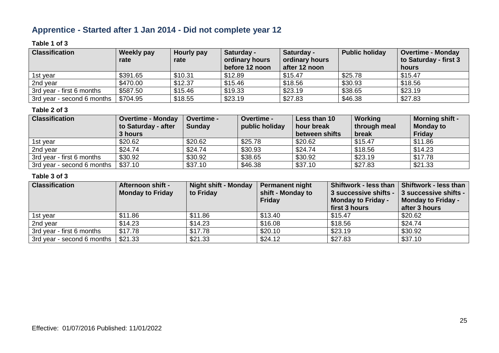### **Apprentice - Started after 1 Jan 2014 - Did not complete year 12**

#### **Table 1 of 3**

| <b>Classification</b>      | Weekly pay<br>rate | Hourly pay<br>rate | Saturday -<br>ordinary hours<br>before 12 noon | Saturday -<br>ordinary hours<br>after 12 noon | <b>Public holiday</b> | <b>Overtime - Monday</b><br>to Saturday - first 3<br>hours |
|----------------------------|--------------------|--------------------|------------------------------------------------|-----------------------------------------------|-----------------------|------------------------------------------------------------|
| 1st year                   | \$391.65           | \$10.31            | \$12.89                                        | \$15.47                                       | \$25.78               | \$15.47                                                    |
| 2nd year                   | \$470.00           | \$12.37            | \$15.46                                        | \$18.56                                       | \$30.93               | \$18.56                                                    |
| 3rd year - first 6 months  | \$587.50           | \$15.46            | \$19.33                                        | \$23.19                                       | \$38.65               | \$23.19                                                    |
| 3rd year - second 6 months | \$704.95           | \$18.55            | \$23.19                                        | \$27.83                                       | \$46.38               | \$27.83                                                    |

#### **Table 2 of 3**

| <b>Classification</b>      | <b>Overtime - Monday</b><br>to Saturday - after<br>3 hours | <b>Overtime -</b><br>Sunday | <b>Overtime -</b><br>public holiday | Less than 10<br>hour break<br>between shifts | Working<br>through meal<br>break | <b>Morning shift -</b><br><b>Monday to</b><br>Friday |
|----------------------------|------------------------------------------------------------|-----------------------------|-------------------------------------|----------------------------------------------|----------------------------------|------------------------------------------------------|
| 1st year                   | \$20.62                                                    | \$20.62                     | \$25.78                             | \$20.62                                      | \$15.47                          | \$11.86                                              |
| 2nd year                   | \$24.74                                                    | \$24.74                     | \$30.93                             | \$24.74                                      | \$18.56                          | \$14.23                                              |
| 3rd year - first 6 months  | \$30.92                                                    | \$30.92                     | \$38.65                             | \$30.92                                      | \$23.19                          | \$17.78                                              |
| 3rd year - second 6 months | \$37.10                                                    | \$37.10                     | \$46.38                             | \$37.10                                      | \$27.83                          | \$21.33                                              |

| <b>Classification</b>      | <b>Afternoon shift -</b><br><b>Monday to Friday</b> | <b>Night shift - Monday</b><br>to Friday | <b>Permanent night</b><br>shift - Monday to<br><b>Friday</b> | Shiftwork - less than<br>3 successive shifts -<br><b>Monday to Friday -</b><br>first 3 hours | Shiftwork - less than<br>3 successive shifts -<br><b>Monday to Friday -</b><br>after 3 hours |
|----------------------------|-----------------------------------------------------|------------------------------------------|--------------------------------------------------------------|----------------------------------------------------------------------------------------------|----------------------------------------------------------------------------------------------|
| 1st year                   | \$11.86                                             | \$11.86                                  | \$13.40                                                      | \$15.47                                                                                      | \$20.62                                                                                      |
| 2nd year                   | \$14.23                                             | \$14.23                                  | \$16.08                                                      | \$18.56                                                                                      | \$24.74                                                                                      |
| 3rd year - first 6 months  | \$17.78                                             | \$17.78                                  | \$20.10                                                      | \$23.19                                                                                      | \$30.92                                                                                      |
| 3rd year - second 6 months | \$21.33                                             | \$21.33                                  | \$24.12                                                      | \$27.83                                                                                      | \$37.10                                                                                      |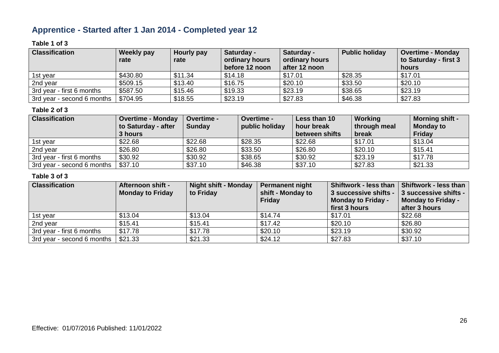### **Apprentice - Started after 1 Jan 2014 - Completed year 12**

#### **Table 1 of 3**

| <b>Classification</b>      | Weekly pay<br>rate | Hourly pay<br>rate | Saturday -<br>ordinary hours<br>before 12 noon | Saturday -<br>ordinary hours<br>after 12 noon | <b>Public holiday</b> | <b>Overtime - Monday</b><br>to Saturday - first 3<br>hours |
|----------------------------|--------------------|--------------------|------------------------------------------------|-----------------------------------------------|-----------------------|------------------------------------------------------------|
| 1st year                   | \$430.80           | \$11.34            | \$14.18                                        | \$17.01                                       | \$28.35               | \$17.01                                                    |
| 2nd year                   | \$509.15           | \$13.40            | \$16.75                                        | \$20.10                                       | \$33.50               | \$20.10                                                    |
| 3rd year - first 6 months  | \$587.50           | \$15.46            | \$19.33                                        | \$23.19                                       | \$38.65               | \$23.19                                                    |
| 3rd year - second 6 months | \$704.95           | \$18.55            | \$23.19                                        | \$27.83                                       | \$46.38               | \$27.83                                                    |

#### **Table 2 of 3**

| <b>Classification</b>      | <b>Overtime - Monday</b><br>to Saturday - after<br>3 hours | <b>Overtime -</b><br>Sunday | <b>Overtime -</b><br>public holiday | Less than 10<br>hour break<br>between shifts | Working<br>through meal<br>break | <b>Morning shift -</b><br><b>Monday to</b><br>Friday |
|----------------------------|------------------------------------------------------------|-----------------------------|-------------------------------------|----------------------------------------------|----------------------------------|------------------------------------------------------|
| 1st year                   | \$22.68                                                    | \$22.68                     | \$28.35                             | \$22.68                                      | \$17.01                          | \$13.04                                              |
| 2nd year                   | \$26.80                                                    | \$26.80                     | \$33.50                             | \$26.80                                      | \$20.10                          | \$15.41                                              |
| 3rd year - first 6 months  | \$30.92                                                    | \$30.92                     | \$38.65                             | \$30.92                                      | \$23.19                          | \$17.78                                              |
| 3rd year - second 6 months | \$37.10                                                    | \$37.10                     | \$46.38                             | \$37.10                                      | \$27.83                          | \$21.33                                              |

| <b>Classification</b>      | <b>Afternoon shift -</b><br><b>Monday to Friday</b> | <b>Night shift - Monday</b><br>to Friday | <b>Permanent night</b><br>shift - Monday to<br><b>Friday</b> | <b>Shiftwork - less than</b><br>3 successive shifts -<br><b>Monday to Friday -</b><br>first 3 hours | Shiftwork - less than<br>3 successive shifts -<br><b>Monday to Friday -</b><br>after 3 hours |
|----------------------------|-----------------------------------------------------|------------------------------------------|--------------------------------------------------------------|-----------------------------------------------------------------------------------------------------|----------------------------------------------------------------------------------------------|
| 1st year                   | \$13.04                                             | \$13.04                                  | \$14.74                                                      | \$17.01                                                                                             | \$22.68                                                                                      |
| 2nd year                   | \$15.41                                             | \$15.41                                  | \$17.42                                                      | \$20.10                                                                                             | \$26.80                                                                                      |
| 3rd year - first 6 months  | \$17.78                                             | \$17.78                                  | \$20.10                                                      | \$23.19                                                                                             | \$30.92                                                                                      |
| 3rd year - second 6 months | \$21.33                                             | \$21.33                                  | \$24.12                                                      | \$27.83                                                                                             | \$37.10                                                                                      |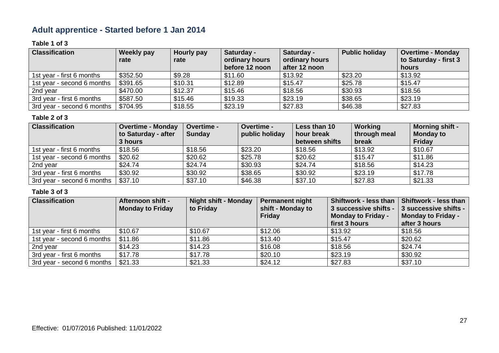## **Adult apprentice - Started before 1 Jan 2014**

#### **Table 1 of 3**

| <b>Classification</b>      | Weekly pay | <b>Hourly pay</b> | Saturday -     | Saturday -     | <b>Public holiday</b> | <b>Overtime - Monday</b> |
|----------------------------|------------|-------------------|----------------|----------------|-----------------------|--------------------------|
|                            | rate       | rate              | ordinary hours | ordinary hours |                       | to Saturday - first 3    |
|                            |            |                   | before 12 noon | after 12 noon  |                       | hours                    |
| 1st year - first 6 months  | \$352.50   | \$9.28            | \$11.60        | \$13.92        | \$23.20               | \$13.92                  |
| 1st year - second 6 months | \$391.65   | \$10.31           | \$12.89        | \$15.47        | \$25.78               | \$15.47                  |
| 2nd year                   | \$470.00   | \$12.37           | \$15.46        | \$18.56        | \$30.93               | \$18.56                  |
| 3rd year - first 6 months  | \$587.50   | \$15.46           | \$19.33        | \$23.19        | \$38.65               | \$23.19                  |
| 3rd year - second 6 months | \$704.95   | \$18.55           | \$23.19        | \$27.83        | \$46.38               | \$27.83                  |

#### **Table 2 of 3**

| <b>Classification</b>      | <b>Overtime - Monday</b><br>to Saturday - after<br>3 hours | Overtime -<br><b>Sunday</b> | Overtime -<br>public holiday | Less than 10<br>hour break<br>between shifts | Working<br>through meal<br>break | <b>Morning shift -</b><br><b>Monday to</b><br><b>Friday</b> |
|----------------------------|------------------------------------------------------------|-----------------------------|------------------------------|----------------------------------------------|----------------------------------|-------------------------------------------------------------|
| 1st year - first 6 months  | \$18.56                                                    | \$18.56                     | \$23.20                      | \$18.56                                      | \$13.92                          | \$10.67                                                     |
| 1st year - second 6 months | \$20.62                                                    | \$20.62                     | \$25.78                      | \$20.62                                      | \$15.47                          | \$11.86                                                     |
| 2nd year                   | \$24.74                                                    | \$24.74                     | \$30.93                      | \$24.74                                      | \$18.56                          | \$14.23                                                     |
| 3rd year - first 6 months  | \$30.92                                                    | \$30.92                     | \$38.65                      | \$30.92                                      | \$23.19                          | \$17.78                                                     |
| 3rd year - second 6 months | \$37.10                                                    | \$37.10                     | \$46.38                      | \$37.10                                      | \$27.83                          | \$21.33                                                     |

| <b>Classification</b>      | Afternoon shift -<br><b>Monday to Friday</b> | <b>Night shift - Monday</b><br>to Friday | <b>Permanent night</b><br>shift - Monday to<br>Friday | Shiftwork - less than<br>3 successive shifts -<br><b>Monday to Friday -</b><br>first 3 hours | Shiftwork - less than<br>3 successive shifts -<br><b>Monday to Friday -</b><br>after 3 hours |
|----------------------------|----------------------------------------------|------------------------------------------|-------------------------------------------------------|----------------------------------------------------------------------------------------------|----------------------------------------------------------------------------------------------|
| 1st year - first 6 months  | \$10.67                                      | \$10.67                                  | \$12.06                                               | \$13.92                                                                                      | \$18.56                                                                                      |
| 1st year - second 6 months | \$11.86                                      | \$11.86                                  | \$13.40                                               | \$15.47                                                                                      | \$20.62                                                                                      |
| 2nd year                   | \$14.23                                      | \$14.23                                  | \$16.08                                               | \$18.56                                                                                      | \$24.74                                                                                      |
| 3rd year - first 6 months  | \$17.78                                      | \$17.78                                  | \$20.10                                               | \$23.19                                                                                      | \$30.92                                                                                      |
| 3rd year - second 6 months | \$21.33                                      | \$21.33                                  | \$24.12                                               | \$27.83                                                                                      | \$37.10                                                                                      |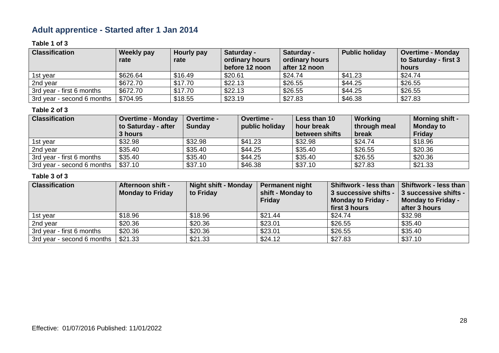### **Adult apprentice - Started after 1 Jan 2014**

#### **Table 1 of 3**

| <b>Classification</b>      | Weekly pay | Hourly pay | Saturday -     | Saturday -     | <b>Public holiday</b> | <b>Overtime - Monday</b> |
|----------------------------|------------|------------|----------------|----------------|-----------------------|--------------------------|
|                            | rate       | rate       | ordinary hours | ordinary hours |                       | to Saturday - first 3    |
|                            |            |            | before 12 noon | after 12 noon  |                       | hours                    |
| 1st year                   | \$626.64   | \$16.49    | \$20.61        | \$24.74        | \$41.23               | \$24.74                  |
| 2nd year                   | \$672.70   | \$17.70    | \$22.13        | \$26.55        | \$44.25               | \$26.55                  |
| 3rd year - first 6 months  | \$672.70   | \$17.70    | \$22.13        | \$26.55        | \$44.25               | \$26.55                  |
| 3rd year - second 6 months | \$704.95   | \$18.55    | \$23.19        | \$27.83        | \$46.38               | \$27.83                  |

#### **Table 2 of 3**

| <b>Classification</b>      | <b>Overtime - Monday</b><br>to Saturday - after<br>3 hours | <b>Overtime -</b><br><b>Sunday</b> | <b>Overtime -</b><br>public holiday | Less than 10<br>hour break<br>between shifts | Working<br>through meal<br>break | <b>Morning shift -</b><br><b>Monday to</b><br>Friday |
|----------------------------|------------------------------------------------------------|------------------------------------|-------------------------------------|----------------------------------------------|----------------------------------|------------------------------------------------------|
| 1st year                   | \$32.98                                                    | \$32.98                            | \$41.23                             | \$32.98                                      | \$24.74                          | \$18.96                                              |
| 2nd year                   | \$35.40                                                    | \$35.40                            | \$44.25                             | \$35.40                                      | \$26.55                          | \$20.36                                              |
| 3rd year - first 6 months  | \$35.40                                                    | \$35.40                            | \$44.25                             | \$35.40                                      | \$26.55                          | \$20.36                                              |
| 3rd year - second 6 months | \$37.10                                                    | \$37.10                            | \$46.38                             | \$37.10                                      | \$27.83                          | \$21.33                                              |

| <b>Classification</b>      | <b>Afternoon shift -</b><br><b>Monday to Friday</b> | <b>Night shift - Monday</b><br>to Friday | Permanent night<br>shift - Monday to | <b>Shiftwork - less than</b><br>3 successive shifts - | Shiftwork - less than<br>3 successive shifts - |
|----------------------------|-----------------------------------------------------|------------------------------------------|--------------------------------------|-------------------------------------------------------|------------------------------------------------|
|                            |                                                     |                                          | <b>Friday</b>                        | <b>Monday to Friday -</b><br>first 3 hours            | Monday to Friday -<br>after 3 hours            |
|                            |                                                     |                                          |                                      |                                                       |                                                |
| 1st year                   | \$18.96                                             | \$18.96                                  | \$21.44                              | \$24.74                                               | \$32.98                                        |
| 2nd year                   | \$20.36                                             | \$20.36                                  | \$23.01                              | \$26.55                                               | \$35.40                                        |
| 3rd year - first 6 months  | \$20.36                                             | \$20.36                                  | \$23.01                              | \$26.55                                               | \$35.40                                        |
| 3rd year - second 6 months | \$21.33                                             | \$21.33                                  | \$24.12                              | \$27.83                                               | \$37.10                                        |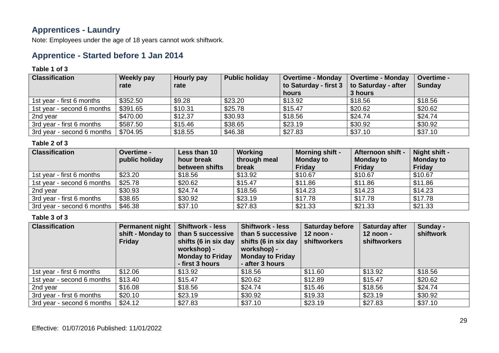### **Apprentices - Laundry**

Note: Employees under the age of 18 years cannot work shiftwork.

### **Apprentice - Started before 1 Jan 2014**

#### **Table 1 of 3**

| <b>Classification</b>      | Weekly pay<br>rate | Hourly pay<br>rate | <b>Public holiday</b> | <b>Overtime - Monday</b><br>to Saturday - first 3 | <b>Overtime - Monday</b><br>to Saturday - after | <b>Overtime -</b><br><b>Sunday</b> |
|----------------------------|--------------------|--------------------|-----------------------|---------------------------------------------------|-------------------------------------------------|------------------------------------|
|                            |                    |                    |                       | hours                                             | 3 hours                                         |                                    |
| 1st year - first 6 months  | \$352.50           | \$9.28             | \$23.20               | \$13.92                                           | \$18.56                                         | \$18.56                            |
| 1st year - second 6 months | \$391.65           | \$10.31            | \$25.78               | \$15.47                                           | \$20.62                                         | \$20.62                            |
| 2nd year                   | \$470.00           | \$12.37            | \$30.93               | \$18.56                                           | \$24.74                                         | \$24.74                            |
| 3rd year - first 6 months  | \$587.50           | \$15.46            | \$38.65               | \$23.19                                           | \$30.92                                         | \$30.92                            |
| 3rd year - second 6 months | \$704.95           | \$18.55            | \$46.38               | \$27.83                                           | \$37.10                                         | \$37.10                            |

#### **Table 2 of 3**

| <b>Classification</b>      | <b>Overtime -</b><br>public holiday | Less than 10<br>hour break<br>between shifts | Working<br>through meal<br>break | <b>Morning shift -</b><br><b>Monday to</b><br><b>Friday</b> | Afternoon shift -<br><b>Monday to</b><br>Friday | Night shift -<br><b>Monday to</b><br><b>Friday</b> |
|----------------------------|-------------------------------------|----------------------------------------------|----------------------------------|-------------------------------------------------------------|-------------------------------------------------|----------------------------------------------------|
| 1st year - first 6 months  | \$23.20                             | \$18.56                                      | \$13.92                          | \$10.67                                                     | \$10.67                                         | \$10.67                                            |
| 1st year - second 6 months | \$25.78                             | \$20.62                                      | \$15.47                          | \$11.86                                                     | \$11.86                                         | \$11.86                                            |
| 2nd year                   | \$30.93                             | \$24.74                                      | \$18.56                          | \$14.23                                                     | \$14.23                                         | \$14.23                                            |
| 3rd year - first 6 months  | \$38.65                             | \$30.92                                      | \$23.19                          | \$17.78                                                     | \$17.78                                         | \$17.78                                            |
| 3rd year - second 6 months | \$46.38                             | \$37.10                                      | \$27.83                          | \$21.33                                                     | \$21.33                                         | \$21.33                                            |

| <b>Classification</b>      | <b>Permanent night</b><br>shift - Monday to<br><b>Friday</b> | <b>Shiftwork - less</b><br>than 5 successive<br>workshop) -<br><b>Monday to Friday</b><br>- first 3 hours | <b>Shiftwork - less</b><br>than 5 successive<br>shifts (6 in six day   shifts (6 in six day<br>workshop) -<br><b>Monday to Friday</b><br>- after 3 hours | <b>Saturday before</b><br>$12$ noon -<br>shiftworkers | <b>Saturday after</b><br>$12$ noon -<br><b>shiftworkers</b> | Sunday -<br>shiftwork |
|----------------------------|--------------------------------------------------------------|-----------------------------------------------------------------------------------------------------------|----------------------------------------------------------------------------------------------------------------------------------------------------------|-------------------------------------------------------|-------------------------------------------------------------|-----------------------|
| 1st year - first 6 months  | \$12.06                                                      | \$13.92                                                                                                   | \$18.56                                                                                                                                                  | \$11.60                                               | \$13.92                                                     | \$18.56               |
| 1st year - second 6 months | \$13.40                                                      | \$15.47                                                                                                   | \$20.62                                                                                                                                                  | \$12.89                                               | \$15.47                                                     | \$20.62               |
| 2nd year                   | \$16.08                                                      | \$18.56                                                                                                   | \$24.74                                                                                                                                                  | \$15.46                                               | \$18.56                                                     | \$24.74               |
| 3rd year - first 6 months  | \$20.10                                                      | \$23.19                                                                                                   | \$30.92                                                                                                                                                  | \$19.33                                               | \$23.19                                                     | \$30.92               |
| 3rd year - second 6 months | \$24.12                                                      | \$27.83                                                                                                   | \$37.10                                                                                                                                                  | \$23.19                                               | \$27.83                                                     | \$37.10               |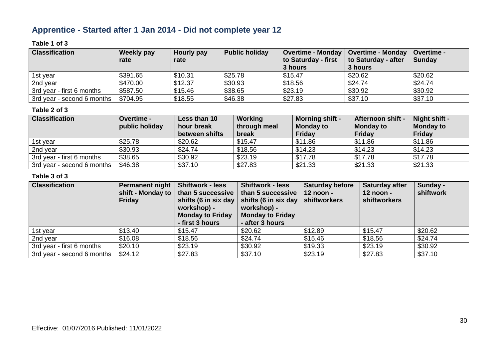### **Apprentice - Started after 1 Jan 2014 - Did not complete year 12**

#### **Table 1 of 3**

| <b>Classification</b>      | Weekly pay | Hourly pay | <b>Public holiday</b> | Overtime - Monday   Overtime - Monday |                     | <b>Overtime -</b> |
|----------------------------|------------|------------|-----------------------|---------------------------------------|---------------------|-------------------|
|                            | rate       | rate       |                       | to Saturday - first                   | to Saturday - after | <b>Sunday</b>     |
|                            |            |            |                       | 3 hours                               | 3 hours             |                   |
| 1st year                   | \$391.65   | \$10.31    | \$25.78               | \$15.47                               | \$20.62             | \$20.62           |
| 2nd year                   | \$470.00   | \$12.37    | \$30.93               | \$18.56                               | \$24.74             | \$24.74           |
| 3rd year - first 6 months  | \$587.50   | \$15.46    | \$38.65               | \$23.19                               | \$30.92             | \$30.92           |
| 3rd year - second 6 months | \$704.95   | \$18.55    | \$46.38               | \$27.83                               | \$37.10             | \$37.10           |

#### **Table 2 of 3**

| <b>Classification</b>      | <b>Overtime -</b> | Less than 10   | Working      | <b>Morning shift -</b> | <b>Afternoon shift -</b> | Night shift -    |
|----------------------------|-------------------|----------------|--------------|------------------------|--------------------------|------------------|
|                            | public holiday    | hour break     | through meal | <b>Monday to</b>       | <b>Monday to</b>         | <b>Monday to</b> |
|                            |                   | between shifts | break        | <b>Friday</b>          | <b>Friday</b>            | <b>Friday</b>    |
| 1st year                   | \$25.78           | \$20.62        | \$15.47      | \$11.86                | \$11.86                  | \$11.86          |
| 2nd year                   | \$30.93           | \$24.74        | \$18.56      | \$14.23                | \$14.23                  | \$14.23          |
| 3rd year - first 6 months  | \$38.65           | \$30.92        | \$23.19      | \$17.78                | \$17.78                  | \$17.78          |
| 3rd year - second 6 months | \$46.38           | \$37.10        | \$27.83      | \$21.33                | \$21.33                  | \$21.33          |

| <b>Classification</b>      | <b>Permanent night</b><br>shift - Monday to<br><b>Friday</b> | <b>Shiftwork - less</b><br>than 5 successive<br>shifts (6 in six day $ $<br>workshop) -<br><b>Monday to Friday</b><br>- first 3 hours | <b>Shiftwork - less</b><br>than 5 successive<br>shifts (6 in six day<br>workshop) -<br><b>Monday to Friday</b><br>- after 3 hours | <b>Saturday before</b><br>12 noon -<br>shiftworkers | <b>Saturday after</b><br>12 noon -<br><b>shiftworkers</b> | Sunday -<br>shiftwork |
|----------------------------|--------------------------------------------------------------|---------------------------------------------------------------------------------------------------------------------------------------|-----------------------------------------------------------------------------------------------------------------------------------|-----------------------------------------------------|-----------------------------------------------------------|-----------------------|
| 1st year                   | \$13.40                                                      | \$15.47                                                                                                                               | \$20.62                                                                                                                           | \$12.89                                             | \$15.47                                                   | \$20.62               |
| 2nd year                   | \$16.08                                                      | \$18.56                                                                                                                               | \$24.74                                                                                                                           | \$15.46                                             | \$18.56                                                   | \$24.74               |
| 3rd year - first 6 months  | \$20.10                                                      | \$23.19                                                                                                                               | \$30.92                                                                                                                           | \$19.33                                             | \$23.19                                                   | \$30.92               |
| 3rd year - second 6 months | \$24.12                                                      | \$27.83                                                                                                                               | \$37.10                                                                                                                           | \$23.19                                             | \$27.83                                                   | \$37.10               |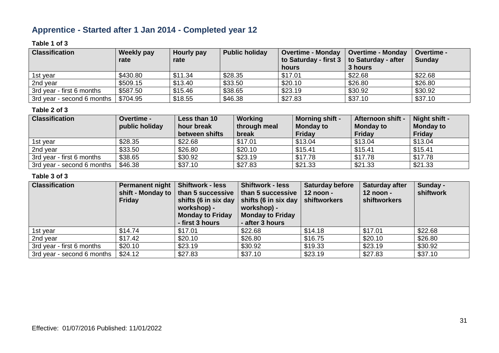### **Apprentice - Started after 1 Jan 2014 - Completed year 12**

#### **Table 1 of 3**

| <b>Classification</b>      | <b>Weekly pay</b> | Hourly pay | <b>Public holiday</b> | <b>Overtime - Monday</b>                    | <b>Overtime - Monday</b> | <b>Overtime -</b> |
|----------------------------|-------------------|------------|-----------------------|---------------------------------------------|--------------------------|-------------------|
|                            | rate              | rate       |                       | to Saturday - first 3   to Saturday - after |                          | <b>Sunday</b>     |
|                            |                   |            |                       | hours                                       | 3 hours                  |                   |
| 1st vear                   | \$430.80          | \$11.34    | \$28.35               | \$17.01                                     | \$22.68                  | \$22.68           |
| 2nd year                   | \$509.15          | \$13.40    | \$33.50               | \$20.10                                     | \$26.80                  | \$26.80           |
| 3rd year - first 6 months  | \$587.50          | \$15.46    | \$38.65               | \$23.19                                     | \$30.92                  | \$30.92           |
| 3rd year - second 6 months | \$704.95          | \$18.55    | \$46.38               | \$27.83                                     | \$37.10                  | \$37.10           |

#### **Table 2 of 3**

| <b>Classification</b>      | <b>Overtime -</b><br>public holiday | Less than 10<br>hour break<br>between shifts | Working<br>through meal<br>break | <b>Morning shift -</b><br><b>Monday to</b><br><b>Friday</b> | <b>Afternoon shift -</b><br><b>Monday to</b><br><b>Friday</b> | Night shift -<br><b>Monday to</b><br><b>Friday</b> |
|----------------------------|-------------------------------------|----------------------------------------------|----------------------------------|-------------------------------------------------------------|---------------------------------------------------------------|----------------------------------------------------|
| 1st year                   | \$28.35                             | \$22.68                                      | \$17.01                          | \$13.04                                                     | \$13.04                                                       | \$13.04                                            |
| 2nd year                   | \$33.50                             | \$26.80                                      | \$20.10                          | \$15.41                                                     | \$15.41                                                       | \$15.41                                            |
| 3rd year - first 6 months  | \$38.65                             | \$30.92                                      | \$23.19                          | \$17.78                                                     | \$17.78                                                       | \$17.78                                            |
| 3rd year - second 6 months | \$46.38                             | \$37.10                                      | \$27.83                          | \$21.33                                                     | \$21.33                                                       | \$21.33                                            |

| <b>Classification</b>      | Permanent night<br>shift - Monday to<br><b>Friday</b> | <b>Shiftwork - less</b><br>than 5 successive<br>workshop) -<br><b>Monday to Friday</b><br>- first 3 hours | <b>Shiftwork - less</b><br>than 5 successive<br>shifts (6 in six day $\vert$ shifts (6 in six day<br>workshop) -<br><b>Monday to Friday</b><br>- after 3 hours | <b>Saturday before</b><br>$12$ noon -<br>shiftworkers | Saturday after<br>$12$ noon -<br>shiftworkers | Sunday -<br>shiftwork |
|----------------------------|-------------------------------------------------------|-----------------------------------------------------------------------------------------------------------|----------------------------------------------------------------------------------------------------------------------------------------------------------------|-------------------------------------------------------|-----------------------------------------------|-----------------------|
| 1st year                   | \$14.74                                               | \$17.01                                                                                                   | \$22.68                                                                                                                                                        | \$14.18                                               | \$17.01                                       | \$22.68               |
| 2nd year                   | \$17.42                                               | \$20.10                                                                                                   | \$26.80                                                                                                                                                        | \$16.75                                               | \$20.10                                       | \$26.80               |
| 3rd year - first 6 months  | \$20.10                                               | \$23.19                                                                                                   | \$30.92                                                                                                                                                        | \$19.33                                               | \$23.19                                       | \$30.92               |
| 3rd year - second 6 months | \$24.12                                               | \$27.83                                                                                                   | \$37.10                                                                                                                                                        | \$23.19                                               | \$27.83                                       | \$37.10               |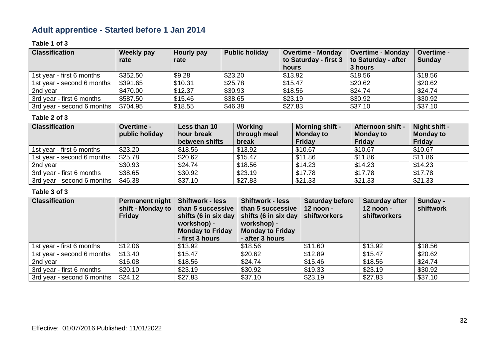### **Adult apprentice - Started before 1 Jan 2014**

#### **Table 1 of 3**

| <b>Classification</b>      | Weekly pay | Hourly pay | <b>Public holiday</b> | <b>Overtime - Monday</b> | <b>Overtime - Monday</b> | Overtime -    |
|----------------------------|------------|------------|-----------------------|--------------------------|--------------------------|---------------|
|                            | rate       | rate       |                       | to Saturday - first 3    | to Saturday - after      | <b>Sunday</b> |
|                            |            |            |                       | hours                    | 3 hours                  |               |
| 1st year - first 6 months  | \$352.50   | \$9.28     | \$23.20               | \$13.92                  | \$18.56                  | \$18.56       |
| 1st year - second 6 months | \$391.65   | \$10.31    | \$25.78               | \$15.47                  | \$20.62                  | \$20.62       |
| 2nd year                   | \$470.00   | \$12.37    | \$30.93               | \$18.56                  | \$24.74                  | \$24.74       |
| 3rd year - first 6 months  | \$587.50   | \$15.46    | \$38.65               | \$23.19                  | \$30.92                  | \$30.92       |
| 3rd year - second 6 months | \$704.95   | \$18.55    | \$46.38               | \$27.83                  | \$37.10                  | \$37.10       |

#### **Table 2 of 3**

| <b>Classification</b>      | Overtime -<br>public holiday | Less than 10<br>hour break<br>between shifts | Working<br>through meal<br>break | <b>Morning shift -</b><br><b>Monday to</b><br><b>Friday</b> | Afternoon shift -<br><b>Monday to</b><br>Friday | Night shift -<br><b>Monday to</b><br><b>Friday</b> |
|----------------------------|------------------------------|----------------------------------------------|----------------------------------|-------------------------------------------------------------|-------------------------------------------------|----------------------------------------------------|
| 1st year - first 6 months  | \$23.20                      | \$18.56                                      | \$13.92                          | \$10.67                                                     | \$10.67                                         | \$10.67                                            |
| 1st year - second 6 months | \$25.78                      | \$20.62                                      | \$15.47                          | \$11.86                                                     | \$11.86                                         | \$11.86                                            |
| 2nd year                   | \$30.93                      | \$24.74                                      | \$18.56                          | \$14.23                                                     | \$14.23                                         | \$14.23                                            |
| 3rd year - first 6 months  | \$38.65                      | \$30.92                                      | \$23.19                          | \$17.78                                                     | \$17.78                                         | \$17.78                                            |
| 3rd year - second 6 months | \$46.38                      | \$37.10                                      | \$27.83                          | \$21.33                                                     | \$21.33                                         | \$21.33                                            |

| <b>Classification</b>      | Permanent night<br>shift - Monday to<br><b>Friday</b> | <b>Shiftwork - less</b><br>than 5 successive<br>shifts (6 in six day<br>workshop) -<br><b>Monday to Friday</b><br>- first 3 hours | <b>Shiftwork - less</b><br>than 5 successive<br>shifts (6 in six day<br>workshop) -<br><b>Monday to Friday</b><br>- after 3 hours | <b>Saturday before</b><br>12 noon -<br>shiftworkers | Saturday after<br>$12$ noon -<br><b>shiftworkers</b> | Sunday -<br>shiftwork |
|----------------------------|-------------------------------------------------------|-----------------------------------------------------------------------------------------------------------------------------------|-----------------------------------------------------------------------------------------------------------------------------------|-----------------------------------------------------|------------------------------------------------------|-----------------------|
| 1st year - first 6 months  | \$12.06                                               | \$13.92                                                                                                                           | \$18.56                                                                                                                           | \$11.60                                             | \$13.92                                              | \$18.56               |
| 1st year - second 6 months | \$13.40                                               | \$15.47                                                                                                                           | \$20.62                                                                                                                           | \$12.89                                             | \$15.47                                              | \$20.62               |
| 2nd year                   | \$16.08                                               | \$18.56                                                                                                                           | \$24.74                                                                                                                           | \$15.46                                             | \$18.56                                              | \$24.74               |
| 3rd year - first 6 months  | \$20.10                                               | \$23.19                                                                                                                           | \$30.92                                                                                                                           | \$19.33                                             | \$23.19                                              | \$30.92               |
| 3rd year - second 6 months | \$24.12                                               | \$27.83                                                                                                                           | \$37.10                                                                                                                           | \$23.19                                             | \$27.83                                              | \$37.10               |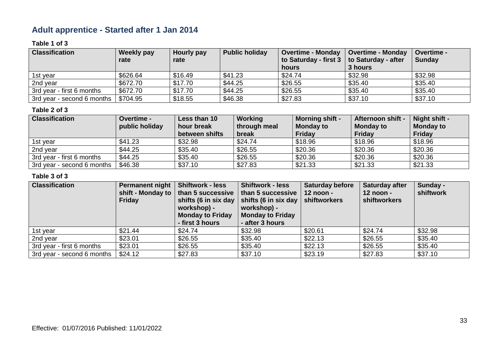### **Adult apprentice - Started after 1 Jan 2014**

#### **Table 1 of 3**

| <b>Classification</b>      | <b>Weekly pay</b> | Hourly pay | <b>Public holiday</b> | <b>Overtime - Monday</b>                    | <b>Overtime - Monday</b> | <b>Overtime -</b> |
|----------------------------|-------------------|------------|-----------------------|---------------------------------------------|--------------------------|-------------------|
|                            | rate              | rate       |                       | to Saturday - first 3   to Saturday - after |                          | <b>Sunday</b>     |
|                            |                   |            |                       | hours                                       | 3 hours                  |                   |
| 1st vear                   | \$626.64          | \$16.49    | \$41.23               | \$24.74                                     | \$32.98                  | \$32.98           |
| 2nd year                   | \$672.70          | \$17.70    | \$44.25               | \$26.55                                     | \$35.40                  | \$35.40           |
| 3rd year - first 6 months  | \$672.70          | \$17.70    | \$44.25               | \$26.55                                     | \$35.40                  | \$35.40           |
| 3rd year - second 6 months | \$704.95          | \$18.55    | \$46.38               | \$27.83                                     | \$37.10                  | \$37.10           |

#### **Table 2 of 3**

| <b>Classification</b>      | <b>Overtime -</b><br>public holiday | Less than 10<br>hour break<br>between shifts | Working<br>through meal<br>break | <b>Morning shift -</b><br><b>Monday to</b><br><b>Friday</b> | <b>Afternoon shift -</b><br><b>Monday to</b><br><b>Friday</b> | Night shift -<br><b>Monday to</b><br><b>Friday</b> |
|----------------------------|-------------------------------------|----------------------------------------------|----------------------------------|-------------------------------------------------------------|---------------------------------------------------------------|----------------------------------------------------|
| 1st vear                   | \$41.23                             | \$32.98                                      | \$24.74                          | \$18.96                                                     | \$18.96                                                       | \$18.96                                            |
| 2nd year                   | \$44.25                             | \$35.40                                      | \$26.55                          | \$20.36                                                     | \$20.36                                                       | \$20.36                                            |
| 3rd year - first 6 months  | \$44.25                             | \$35.40                                      | \$26.55                          | \$20.36                                                     | \$20.36                                                       | \$20.36                                            |
| 3rd year - second 6 months | \$46.38                             | \$37.10                                      | \$27.83                          | \$21.33                                                     | \$21.33                                                       | \$21.33                                            |

| <b>Classification</b>      | Permanent night<br>shift - Monday to<br><b>Friday</b> | <b>Shiftwork - less</b><br>than 5 successive<br>shifts (6 in six day<br>workshop) -<br><b>Monday to Friday</b><br>- first 3 hours | <b>Shiftwork - less</b><br>than 5 successive<br>$\vert$ shifts (6 in six day<br>workshop) -<br><b>Monday to Friday</b><br>- after 3 hours | <b>Saturday before</b><br>$12$ noon -<br>shiftworkers | Saturday after<br>$12$ noon -<br>shiftworkers | Sunday -<br>shiftwork |
|----------------------------|-------------------------------------------------------|-----------------------------------------------------------------------------------------------------------------------------------|-------------------------------------------------------------------------------------------------------------------------------------------|-------------------------------------------------------|-----------------------------------------------|-----------------------|
| 1st year                   | \$21.44                                               | \$24.74                                                                                                                           | \$32.98                                                                                                                                   | \$20.61                                               | \$24.74                                       | \$32.98               |
| 2nd year                   | \$23.01                                               | \$26.55                                                                                                                           | \$35.40                                                                                                                                   | \$22.13                                               | \$26.55                                       | \$35.40               |
| 3rd year - first 6 months  | \$23.01                                               | \$26.55                                                                                                                           | \$35.40                                                                                                                                   | \$22.13                                               | \$26.55                                       | \$35.40               |
| 3rd year - second 6 months | \$24.12                                               | \$27.83                                                                                                                           | \$37.10                                                                                                                                   | \$23.19                                               | \$27.83                                       | \$37.10               |